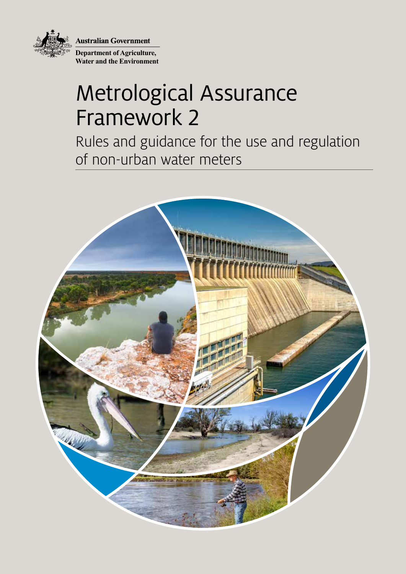**Australian Government Department of Agriculture, Water and the Environment**

# Metrological Assurance Framework 2

Rules and guidance for the use and regulation of non-urban water meters

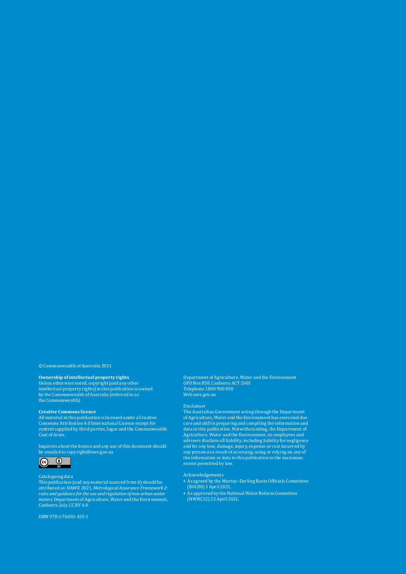© Commonwealth of Australia 2021

#### **Ownership of intellectual property rights**

Unless otherwise noted, copyright (and any other intellectual property rights) in this publication is owned by the Commonwealth of Australia (referred to as the Commonwealth).

#### **Creative Commons licence**

All material in this publication is licensed under a Creative Commons Attribution 4.0 International Licence except for content supplied by third parties, logos and the Commonwealth Coat of Arms.

Inquiries about the licence and any use of this document should be emailed to copyright@awe.gov.au



#### Cataloguing data

This publication (and any material sourced from it) should be attributed as: DAWE 2021, *Metrological Assurance Framework 2: rules and guidance for the use and regulation of non-urban water meters*, Department of Agriculture, Water and the Environment, Canberra, July. CC BY 4.0.

ISBN 978-1-76003-435-1

Department of Agriculture, Water and the Environment GPO Box 858, Canberra ACT 2601 Telephone 1800 900 090 Web awe.gov.au

#### Disclaimer

The Australian Government acting through the Department of Agriculture, Water and the Environment has exercised due care and skill in preparing and compiling the information and data in this publication. Notwithstanding, the Department of Agriculture, Water and the Environment, its employees and advisers disclaim all liability, including liability for negligence and for any loss, damage, injury, expense or cost incurred by any person as a result of accessing, using or relying on any of the information or data in this publication to the maximum extent permitted by law.

#### Acknowledgements

- As agreed by the Murray–Darling Basin Officials Committee (B0C80) 1 April 2021.
- As approved by the National Water Reform Committee (NWRC12) 23 April 2021.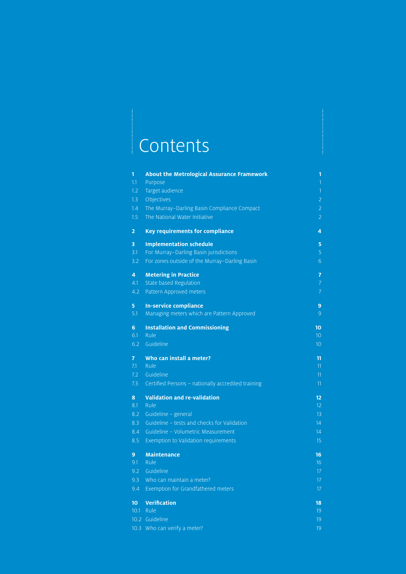# Contents

| $\mathbf{1}$            | <b>About the Metrological Assurance Framework</b>  | 1               |
|-------------------------|----------------------------------------------------|-----------------|
| 1.1                     | Purpose                                            | $\mathbf{1}$    |
| 1.2                     | Target audience                                    | 1               |
| 1.3                     | Objectives                                         | $\overline{2}$  |
| 1.4                     | The Murray-Darling Basin Compliance Compact        | $\overline{2}$  |
| 1.5                     | The National Water Initiative                      | $\overline{2}$  |
| $\overline{\mathbf{2}}$ | <b>Key requirements for compliance</b>             | 4               |
| 3                       | <b>Implementation schedule</b>                     | 5               |
| 3.1                     | For Murray-Darling Basin jurisdictions             | 5               |
| 3.2                     | For zones outside of the Murray-Darling Basin      | $6\phantom{1}$  |
| 4                       | <b>Metering in Practice</b>                        | 7               |
| 4.1                     | State based Regulation                             | $\overline{7}$  |
| 4.2                     | Pattern Approved meters                            | $\overline{7}$  |
| 5                       | <b>In-service compliance</b>                       | 9               |
| 5.1                     | Managing meters which are Pattern Approved         | 9               |
| 6                       | <b>Installation and Commissioning</b>              | 10              |
| 6.1                     | Rule                                               | 10 <sup>°</sup> |
| 6.2                     | Guideline                                          | 10 <sup>°</sup> |
| $\overline{7}$          | Who can install a meter?                           | 11              |
| 7.1                     | Rule                                               | 11              |
| 7.2                     | Guideline                                          | 11              |
| 7.3                     | Certified Persons - nationally accredited training | 11              |
| 8                       | <b>Validation and re-validation</b>                | 12              |
| 8.1                     | Rule                                               | 12 <sup>2</sup> |
| 8.2                     | Guideline - general                                | 13              |
| 8.3                     | Guideline - tests and checks for Validation        | 14              |
| 8.4                     | Guideline - Volumetric Measurement                 | 14              |
| 8.5                     | Exemption to Validation requirements               | 15              |
| 9                       | <b>Maintenance</b>                                 | 16              |
| 9.1                     | Rule                                               | 16 <sup>°</sup> |
| 9.2                     | Guideline                                          | 17              |
| 9.3                     | Who can maintain a meter?                          | 17              |
| 9.4                     | Exemption for Grandfathered meters                 | 17              |
| 10                      | <b>Verification</b>                                | 18              |
| 10.1                    | Rule                                               | 19              |
| 10.2                    | Guideline                                          | 19              |
|                         | 10.3 Who can verify a meter?                       | 19              |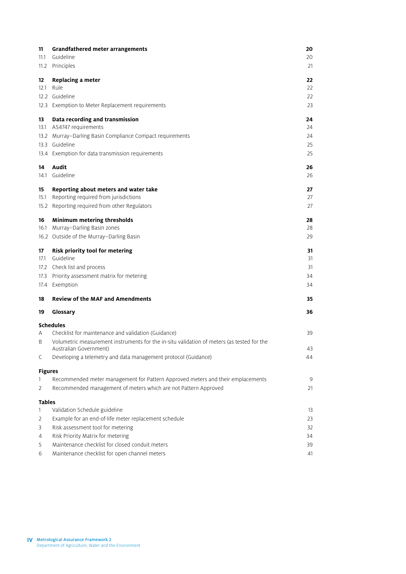| 11             | <b>Grandfathered meter arrangements</b>                                                    | 20 |
|----------------|--------------------------------------------------------------------------------------------|----|
| 11.1           | Guideline                                                                                  | 20 |
| 11.2           | Principles                                                                                 | 21 |
| 12             | Replacing a meter                                                                          | 22 |
| 12.1           | Rule                                                                                       | 22 |
|                | 12.2 Guideline                                                                             | 22 |
|                | 12.3 Exemption to Meter Replacement requirements                                           | 23 |
| 13             | Data recording and transmission                                                            | 24 |
| 13.1           | AS4747 requirements                                                                        | 24 |
|                | 13.2 Murray-Darling Basin Compliance Compact requirements                                  | 24 |
|                | 13.3 Guideline                                                                             | 25 |
|                | 13.4 Exemption for data transmission requirements                                          | 25 |
| 14             | Audit                                                                                      | 26 |
|                | 14.1 Guideline                                                                             | 26 |
| 15             | Reporting about meters and water take                                                      | 27 |
| 15.1           | Reporting required from jurisdictions                                                      | 27 |
| 15.2           | Reporting required from other Regulators                                                   | 27 |
| 16             | Minimum metering thresholds                                                                | 28 |
| 16.1           | Murray-Darling Basin zones                                                                 | 28 |
|                | 16.2 Outside of the Murray-Darling Basin                                                   | 29 |
| 17             | <b>Risk priority tool for metering</b>                                                     | 31 |
| 17.1           | Guideline                                                                                  | 31 |
| 17.2           | Check list and process                                                                     | 31 |
| 17.3           | Priority assessment matrix for metering                                                    | 34 |
| 17.4           | Exemption                                                                                  | 34 |
| 18             | <b>Review of the MAF and Amendments</b>                                                    | 35 |
| 19             | Glossary                                                                                   | 36 |
|                | <b>Schedules</b>                                                                           |    |
| Α              | Checklist for maintenance and validation (Guidance)                                        | 39 |
| B              | Volumetric measurement instruments for the in-situ validation of meters (as tested for the |    |
|                | Australian Government)                                                                     | 43 |
| C              | Developing a telemetry and data management protocol (Guidance)                             | 44 |
| <b>Figures</b> |                                                                                            |    |
| 1              | Recommended meter management for Pattern Approved meters and their emplacements            | 9  |
| 2              | Recommended management of meters which are not Pattern Approved                            | 21 |
| <b>Tables</b>  |                                                                                            |    |
| 1              | Validation Schedule guideline                                                              | 13 |
| 2              | Example for an end-of-life meter replacement schedule                                      | 23 |
| 3              | Risk assessment tool for metering                                                          | 32 |
| 4              | Risk Priority Matrix for metering                                                          | 34 |
| 5              | Maintenance checklist for closed conduit meters                                            | 39 |
| 6              | Maintenance checklist for open channel meters                                              | 41 |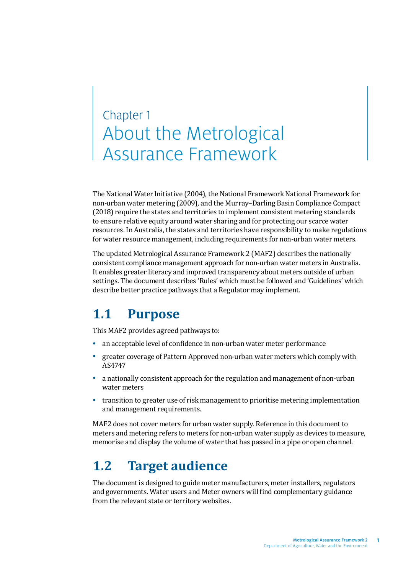## <span id="page-4-0"></span>Chapter 1 About the Metrological Assurance Framework

The National Water Initiative (2004), the National Framework National Framework for non-urban water metering (2009), and the Murray–Darling Basin Compliance Compact (2018) require the states and territories to implement consistent metering standards to ensure relative equity around water sharing and for protecting our scarce water resources. In Australia, the states and territories have responsibility to make regulations for water resource management, including requirements for non-urban water meters.

The updated Metrological Assurance Framework 2 (MAF2) describes the nationally consistent compliance management approach for non-urban water meters in Australia. It enables greater literacy and improved transparency about meters outside of urban settings. The document describes 'Rules' which must be followed and 'Guidelines' which describe better practice pathways that a Regulator may implement.

#### **1.1 Purpose**

This MAF2 provides agreed pathways to:

- an acceptable level of confidence in non-urban water meter performance
- greater coverage of Pattern Approved non-urban water meters which comply with AS4747
- a nationally consistent approach for the regulation and management of non-urban water meters
- transition to greater use of risk management to prioritise metering implementation and management requirements.

MAF2 does not cover meters for urban water supply. Reference in this document to meters and metering refers to meters for non-urban water supply as devices to measure, memorise and display the volume of water that has passed in a pipe or open channel.

#### **1.2 Target audience**

The document is designed to guide meter manufacturers, meter installers, regulators and governments. Water users and Meter owners will find complementary guidance from the relevant state or territory websites.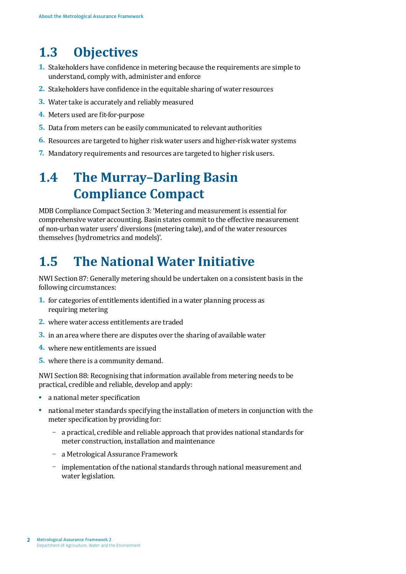### <span id="page-5-0"></span>**1.3 Objectives**

- **1.** Stakeholders have confidence in metering because the requirements are simple to understand, comply with, administer and enforce
- **2.** Stakeholders have confidence in the equitable sharing of water resources
- **3.** Water take is accurately and reliably measured
- **4.** Meters used are fit-for-purpose
- **5.** Data from meters can be easily communicated to relevant authorities
- **6.** Resources are targeted to higher risk water users and higher-risk water systems
- **7.** Mandatory requirements and resources are targeted to higher risk users.

#### **1.4 The Murray–Darling Basin Compliance Compact**

MDB Compliance Compact Section 3: 'Metering and measurement is essential for comprehensive water accounting. Basin states commit to the effective measurement of non-urban water users' diversions (metering take), and of the water resources themselves (hydrometrics and models)'.

#### **1.5 The National Water Initiative**

NWI Section 87: Generally metering should be undertaken on a consistent basis in the following circumstances:

- **1.** for categories of entitlements identified in a water planning process as requiring metering
- **2.** where water access entitlements are traded
- **3.** in an area where there are disputes over the sharing of available water
- **4.** where new entitlements are issued
- **5.** where there is a community demand.

NWI Section 88: Recognising that information available from metering needs to be practical, credible and reliable, develop and apply:

- a national meter specification
- national meter standards specifying the installation of meters in conjunction with the meter specification by providing for:
	- a practical, credible and reliable approach that provides national standards for meter construction, installation and maintenance
	- a Metrological Assurance Framework
	- implementation of the national standards through national measurement and water legislation.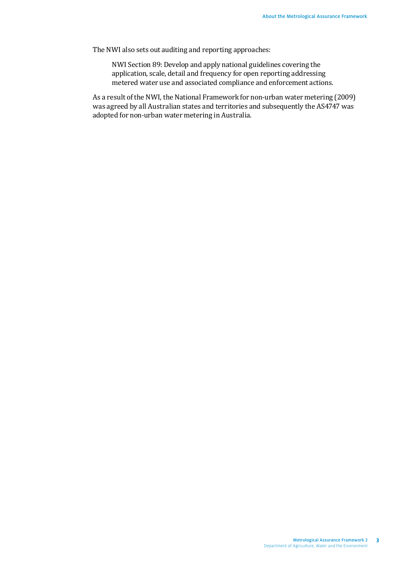The NWI also sets out auditing and reporting approaches:

NWI Section 89: Develop and apply national guidelines covering the application, scale, detail and frequency for open reporting addressing metered water use and associated compliance and enforcement actions.

As a result of the NWI, the National Framework for non-urban water metering (2009) was agreed by all Australian states and territories and subsequently the AS4747 was adopted for non-urban water metering in Australia.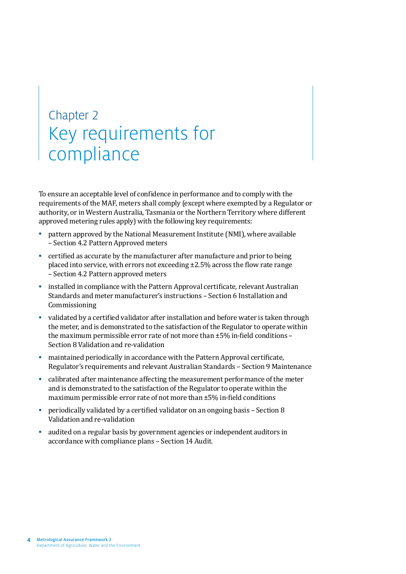## <span id="page-7-0"></span>Chapter 2 Key requirements for compliance

To ensure an acceptable level of confidence in performance and to comply with the requirements of the MAF, meters shall comply (except where exempted by a Regulator or authority, or in Western Australia, Tasmania or the Northern Territory where different approved metering rules apply) with the following key requirements:

- pattern approved by the National Measurement Institute (NMI), where available – Section [4.2](#page-10-1) Pattern Approved meters
- certified as accurate by the manufacturer after manufacture and prior to being placed into service, with errors not exceeding ±2.5% across the flow rate range – Section [4.2](#page-10-1) Pattern approved meters
- installed in compliance with the Pattern Approval certificate, relevant Australian Standards and meter manufacturer's instructions – Section 6 Installation and Commissioning
- validated by a certified validator after installation and before water is taken through the meter, and is demonstrated to the satisfaction of the Regulator to operate within the maximum permissible error rate of not more than ±5% in-field conditions – Section 8 Validation and re-validation
- maintained periodically in accordance with the Pattern Approval certificate, Regulator's requirements and relevant Australian Standards – Section 9 Maintenance
- calibrated after maintenance affecting the measurement performance of the meter and is demonstrated to the satisfaction of the Regulator to operate within the maximum permissible error rate of not more than ±5% in-field conditions
- periodically validated by a certified validator on an ongoing basis Section 8 Validation and re-validation
- audited on a regular basis by government agencies or independent auditors in accordance with compliance plans – Section 14 Audit.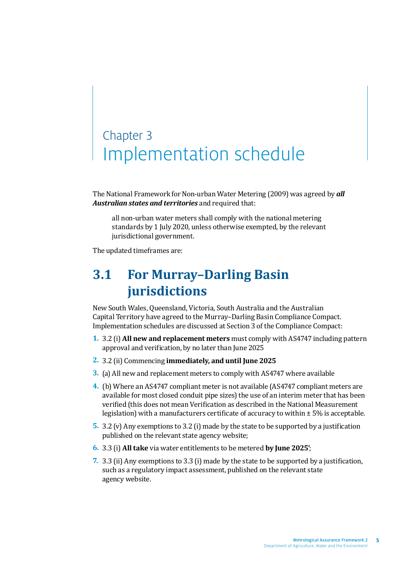## <span id="page-8-0"></span>Chapter 3 Implementation schedule

The National Framework for Non-urban Water Metering (2009) was agreed by *all Australian states and territories* and required that:

all non-urban water meters shall comply with the national metering standards by 1 July 2020, unless otherwise exempted, by the relevant jurisdictional government.

The updated timeframes are:

#### **3.1 For Murray–Darling Basin jurisdictions**

New South Wales, Queensland, Victoria, South Australia and the Australian Capital Territory have agreed to the Murray–Darling Basin Compliance Compact. Implementation schedules are discussed at Section 3 of the Compliance Compact:

- **1.** 3.2 (i) **All new and replacement meters** must comply with AS4747 including pattern approval and verification, by no later than June 2025
- **2.** 3.2 (ii) Commencing **immediately, and until June 2025**
- **3.** (a) All new and replacement meters to comply with AS4747 where available
- **4.** (b) Where an AS4747 compliant meter is not available (AS4747 compliant meters are available for most closed conduit pipe sizes) the use of an interim meter that has been verified (this does not mean Verification as described in the National Measurement legislation) with a manufacturers certificate of accuracy to within  $\pm$  5% is acceptable.
- **5.** 3.2 (v) Any exemptions to 3.2 (i) made by the state to be supported by a justification published on the relevant state agency website;
- **6.** 3.3 (i) **All take** via water entitlements to be metered **by June 2025'**;
- **7.** 3.3 (ii) Any exemptions to 3.3 (i) made by the state to be supported by a justification, such as a regulatory impact assessment, published on the relevant state agency website.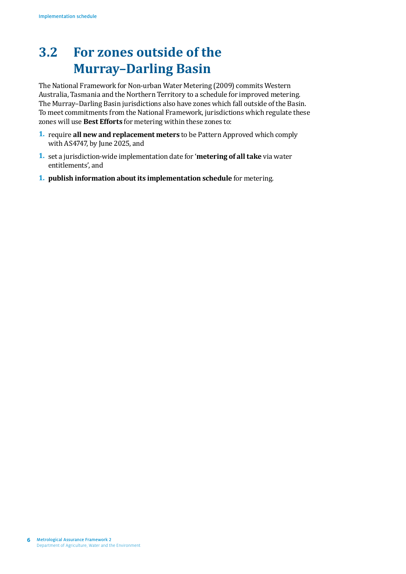### <span id="page-9-0"></span>**3.2 For zones outside of the Murray–Darling Basin**

The National Framework for Non-urban Water Metering (2009) commits Western Australia, Tasmania and the Northern Territory to a schedule for improved metering. The Murray–Darling Basin jurisdictions also have zones which fall outside of the Basin. To meet commitments from the National Framework, jurisdictions which regulate these zones will use **Best Efforts** for metering within these zones to:

- **1.** require **all new and replacement meters** to be Pattern Approved which comply with AS4747, by June 2025, and
- **1.** set a jurisdiction-wide implementation date for '**metering of all take** via water entitlements', and
- **1. publish information about its implementation schedule** for metering.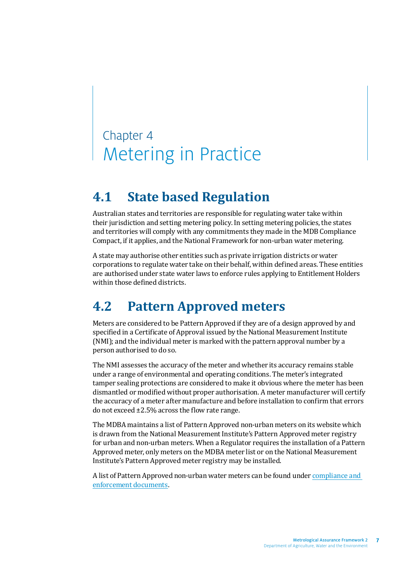## <span id="page-10-0"></span>Chapter 4 Metering in Practice

#### **4.1 State based Regulation**

Australian states and territories are responsible for regulating water take within their jurisdiction and setting metering policy. In setting metering policies, the states and territories will comply with any commitments they made in the MDB Compliance Compact, if it applies, and the National Framework for non-urban water metering.

A state may authorise other entities such as private irrigation districts or water corporations to regulate water take on their behalf, within defined areas. These entities are authorised under state water laws to enforce rules applying to Entitlement Holders within those defined districts.

#### <span id="page-10-1"></span>**4.2 Pattern Approved meters**

Meters are considered to be Pattern Approved if they are of a design approved by and specified in a Certificate of Approval issued by the National Measurement Institute (NMI); and the individual meter is marked with the pattern approval number by a person authorised to do so.

The NMI assesses the accuracy of the meter and whether its accuracy remains stable under a range of environmental and operating conditions. The meter's integrated tamper sealing protections are considered to make it obvious where the meter has been dismantled or modified without proper authorisation. A meter manufacturer will certify the accuracy of a meter after manufacture and before installation to confirm that errors do not exceed ±2.5% across the flow rate range.

The MDBA maintains a list of Pattern Approved non-urban meters on its website which is drawn from the National Measurement Institute's Pattern Approved meter registry for urban and non-urban meters. When a Regulator requires the installation of a Pattern Approved meter, only meters on the MDBA meter list or on the National Measurement Institute's Pattern Approved meter registry may be installed.

A list of Pattern Approved non-urban water meters can be found under [compliance and](https://www.mdba.gov.au/publications/mdba-reports/compliance-enforcement-documents)  [enforcement documents](https://www.mdba.gov.au/publications/mdba-reports/compliance-enforcement-documents).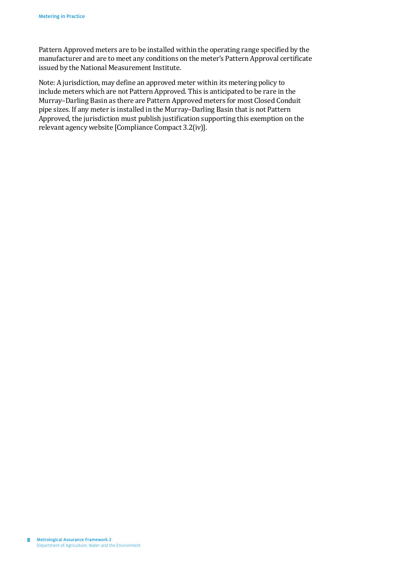Pattern Approved meters are to be installed within the operating range specified by the manufacturer and are to meet any conditions on the meter's Pattern Approval certificate issued by the National Measurement Institute.

Note: A jurisdiction, may define an approved meter within its metering policy to include meters which are not Pattern Approved. This is anticipated to be rare in the Murray–Darling Basin as there are Pattern Approved meters for most Closed Conduit pipe sizes. If any meter is installed in the Murray–Darling Basin that is not Pattern Approved, the jurisdiction must publish justification supporting this exemption on the relevant agency website [Compliance Compact 3.2(iv)].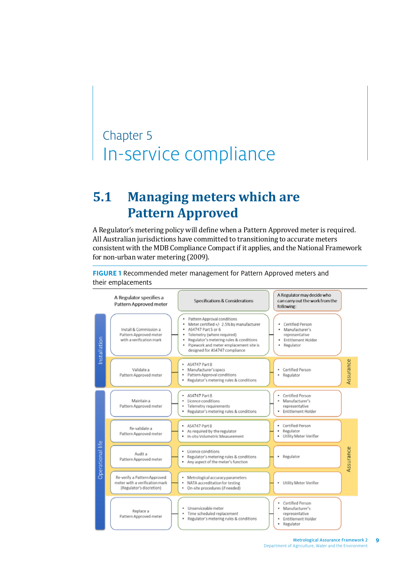## <span id="page-12-0"></span>Chapter 5 In-service compliance

#### **5.1 Managing meters which are Pattern Approved**

A Regulator's metering policy will define when a Pattern Approved meter is required. All Australian jurisdictions have committed to transitioning to accurate meters consistent with the MDB Compliance Compact if it applies, and the National Framework for non-urban water metering (2009).

**FIGURE 1** Recommended meter management for Pattern Approved meters and their emplacements

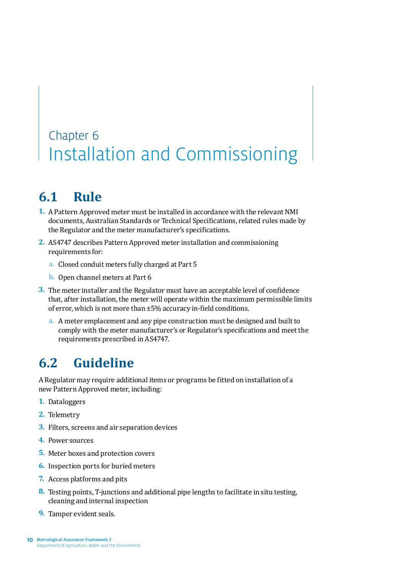## <span id="page-13-0"></span>Chapter 6 Installation and Commissioning

#### **6.1 Rule**

- **1.** A Pattern Approved meter must be installed in accordance with the relevant NMI documents, Australian Standards or Technical Specifications, related rules made by the Regulator and the meter manufacturer's specifications.
- **2.** AS4747 describes Pattern Approved meter installation and commissioning requirements for:
	- **a.** Closed conduit meters fully charged at Part 5
	- **b.** Open channel meters at Part 6
- **3.** The meter installer and the Regulator must have an acceptable level of confidence that, after installation, the meter will operate within the maximum permissible limits of error, which is not more than ±5% accuracy in-field conditions.
	- **a.** A meter emplacement and any pipe construction must be designed and built to comply with the meter manufacturer's or Regulator's specifications and meet the requirements prescribed in AS4747.

### **6.2 Guideline**

A Regulator may require additional items or programs be fitted on installation of a new Pattern Approved meter, including:

- **1.** Dataloggers
- **2.** Telemetry
- **3.** Filters, screens and air separation devices
- **4.** Power sources
- **5.** Meter boxes and protection covers
- **6.** Inspection ports for buried meters
- **7.** Access platforms and pits
- **8.** Testing points, T-junctions and additional pipe lengths to facilitate in situ testing, cleaning and internal inspection
- **9.** Tamper evident seals.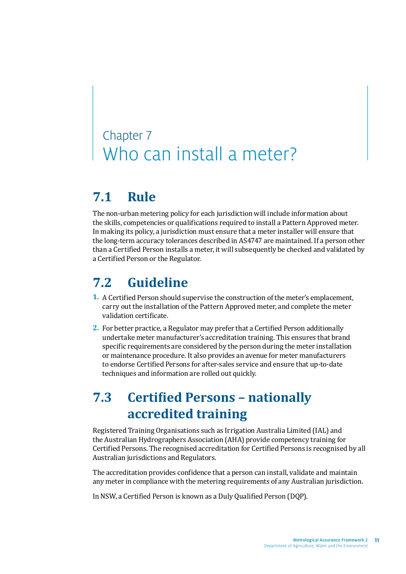## <span id="page-14-0"></span>Chapter 7 Who can install a meter?

#### **7.1 Rule**

The non-urban metering policy for each jurisdiction will include information about the skills, competencies or qualifications required to install a Pattern Approved meter. In making its policy, a jurisdiction must ensure that a meter installer will ensure that the long-term accuracy tolerances described in AS4747 are maintained. If a person other than a Certified Person installs a meter, it will subsequently be checked and validated by a Certified Person or the Regulator.

#### **7.2 Guideline**

- **1.** A Certified Person should supervise the construction of the meter's emplacement, carry out the installation of the Pattern Approved meter, and complete the meter validation certificate.
- **2.** For better practice, a Regulator may prefer that a Certified Person additionally undertake meter manufacturer's accreditation training. This ensures that brand specific requirements are considered by the person during the meter installation or maintenance procedure. It also provides an avenue for meter manufacturers to endorse Certified Persons for after-sales service and ensure that up-to-date techniques and information are rolled out quickly.

#### **7.3 Certified Persons – nationally accredited training**

Registered Training Organisations such as Irrigation Australia Limited (IAL) and the Australian Hydrographers Association (AHA) provide competency training for Certified Persons. The recognised accreditation for Certified Persons is recognised by all Australian jurisdictions and Regulators.

The accreditation provides confidence that a person can install, validate and maintain any meter in compliance with the metering requirements of any Australian jurisdiction.

In NSW, a Certified Person is known as a Duly Qualified Person (DQP).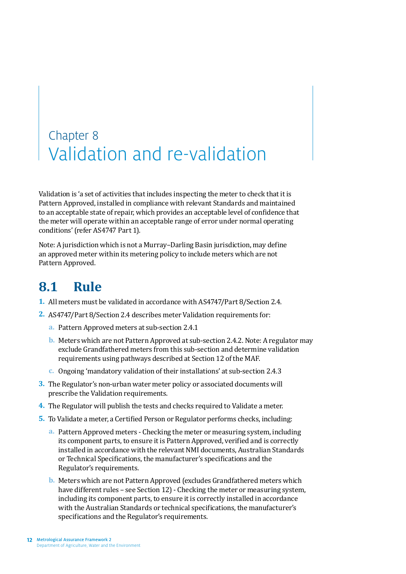## <span id="page-15-0"></span>Chapter 8 Validation and re-validation

Validation is 'a set of activities that includes inspecting the meter to check that it is Pattern Approved, installed in compliance with relevant Standards and maintained to an acceptable state of repair, which provides an acceptable level of confidence that the meter will operate within an acceptable range of error under normal operating conditions' (refer AS4747 Part 1).

Note: A jurisdiction which is not a Murray–Darling Basin jurisdiction, may define an approved meter within its metering policy to include meters which are not Pattern Approved.

#### **8.1 Rule**

- **1.** All meters must be validated in accordance with AS4747/Part 8/Section 2.4.
- **2.** AS4747/Part 8/Section 2.4 describes meter Validation requirements for:
	- **a.** Pattern Approved meters at sub-section 2.4.1
	- **b.** Meters which are not Pattern Approved at sub-section 2.4.2. Note: A regulator may exclude Grandfathered meters from this sub-section and determine validation requirements using pathways described at Section 12 of the MAF.
	- **c.** Ongoing 'mandatory validation of their installations' at sub-section 2.4.3
- **3.** The Regulator's non-urban water meter policy or associated documents will prescribe the Validation requirements.
- **4.** The Regulator will publish the tests and checks required to Validate a meter.
- **5.** To Validate a meter, a Certified Person or Regulator performs checks, including:
	- **a.** Pattern Approved meters Checking the meter or measuring system, including its component parts, to ensure it is Pattern Approved, verified and is correctly installed in accordance with the relevant NMI documents, Australian Standards or Technical Specifications, the manufacturer's specifications and the Regulator's requirements.
	- **b.** Meters which are not Pattern Approved (excludes Grandfathered meters which have different rules - see Section 12) - Checking the meter or measuring system. including its component parts, to ensure it is correctly installed in accordance with the Australian Standards or technical specifications, the manufacturer's specifications and the Regulator's requirements.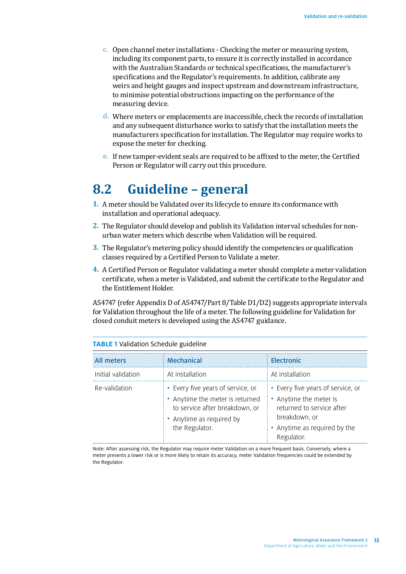- <span id="page-16-0"></span>**c.** Open channel meter installations - Checking the meter or measuring system, including its component parts, to ensure it is correctly installed in accordance with the Australian Standards or technical specifications, the manufacturer's specifications and the Regulator's requirements. In addition, calibrate any weirs and height gauges and inspect upstream and downstream infrastructure, to minimise potential obstructions impacting on the performance of the measuring device.
- **d.** Where meters or emplacements are inaccessible, check the records of installation and any subsequent disturbance works to satisfy that the installation meets the manufacturers specification for installation. The Regulator may require works to expose the meter for checking.
- **e.** If new tamper-evident seals are required to be affixed to the meter, the Certified Person or Regulator will carry out this procedure.

#### **8.2 Guideline – general**

- **1.** A meter should be Validated over its lifecycle to ensure its conformance with installation and operational adequacy.
- **2.** The Regulator should develop and publish its Validation interval schedules for nonurban water meters which describe when Validation will be required.
- **3.** The Regulator's metering policy should identify the competencies or qualification classes required by a Certified Person to Validate a meter.
- **4.** A Certified Person or Regulator validating a meter should complete a meter validation certificate, when a meter is Validated, and submit the certificate to the Regulator and the Entitlement Holder.

AS4747 (refer Appendix D of AS4747/Part 8/Table D1/D2) suggests appropriate intervals for Validation throughout the life of a meter. The following guideline for Validation for closed conduit meters is developed using the AS4747 guidance.

| <b>All meters</b>  | Mechanical                                                                                                                                           | Electronic                                                                                                                                              |
|--------------------|------------------------------------------------------------------------------------------------------------------------------------------------------|---------------------------------------------------------------------------------------------------------------------------------------------------------|
| Initial validation | At installation                                                                                                                                      | At installation                                                                                                                                         |
| Re-validation      | • Every five years of service, or<br>• Anytime the meter is returned<br>to service after breakdown, or<br>• Anytime as required by<br>the Regulator. | • Every five years of service, or<br>• Anytime the meter is<br>returned to service after<br>breakdown, or<br>• Anytime as required by the<br>Regulator. |

#### **TABLE 1** Validation Schedule guideline

Note: After assessing risk, the Regulator may require meter Validation on a more frequent basis. Conversely, where a meter presents a lower risk or is more likely to retain its accuracy, meter Validation frequencies could be extended by the Regulator.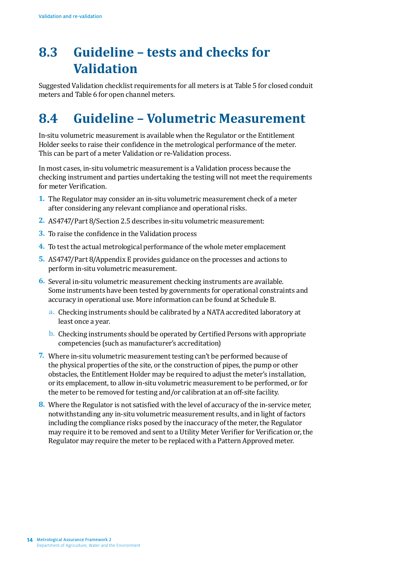### <span id="page-17-0"></span>**8.3 Guideline – tests and checks for Validation**

Suggested Validation checklist requirements for all meters is at Table 5 for closed conduit meters and Table 6 for open channel meters.

#### **8.4 Guideline – Volumetric Measurement**

In-situ volumetric measurement is available when the Regulator or the Entitlement Holder seeks to raise their confidence in the metrological performance of the meter. This can be part of a meter Validation or re-Validation process.

In most cases, in-situ volumetric measurement is a Validation process because the checking instrument and parties undertaking the testing will not meet the requirements for meter Verification.

- **1.** The Regulator may consider an in-situ volumetric measurement check of a meter after considering any relevant compliance and operational risks.
- **2.** AS4747/Part 8/Section 2.5 describes in-situ volumetric measurement:
- **3.** To raise the confidence in the Validation process
- **4.** To test the actual metrological performance of the whole meter emplacement
- **5.** AS4747/Part 8/Appendix E provides guidance on the processes and actions to perform in-situ volumetric measurement.
- **6.** Several in-situ volumetric measurement checking instruments are available. Some instruments have been tested by governments for operational constraints and accuracy in operational use. More information can be found at Schedule B.
	- **a.** Checking instruments should be calibrated by a NATA accredited laboratory at least once a year.
	- **b.** Checking instruments should be operated by Certified Persons with appropriate competencies (such as manufacturer's accreditation)
- **7.** Where in-situ volumetric measurement testing can't be performed because of the physical properties of the site, or the construction of pipes, the pump or other obstacles, the Entitlement Holder may be required to adjust the meter's installation, or its emplacement, to allow in-situ volumetric measurement to be performed, or for the meter to be removed for testing and/or calibration at an off-site facility.
- **8.** Where the Regulator is not satisfied with the level of accuracy of the in-service meter, notwithstanding any in-situ volumetric measurement results, and in light of factors including the compliance risks posed by the inaccuracy of the meter, the Regulator may require it to be removed and sent to a Utility Meter Verifier for Verification or, the Regulator may require the meter to be replaced with a Pattern Approved meter.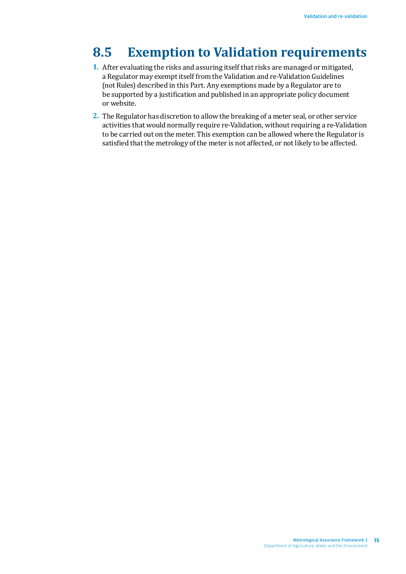#### <span id="page-18-0"></span>**8.5 Exemption to Validation requirements**

- **1.** After evaluating the risks and assuring itself that risks are managed or mitigated, a Regulator may exempt itself from the Validation and re-Validation Guidelines (not Rules) described in this Part. Any exemptions made by a Regulator are to be supported by a justification and published in an appropriate policy document or website.
- **2.** The Regulator has discretion to allow the breaking of a meter seal, or other service activities that would normally require re-Validation, without requiring a re-Validation to be carried out on the meter. This exemption can be allowed where the Regulator is satisfied that the metrology of the meter is not affected, or not likely to be affected.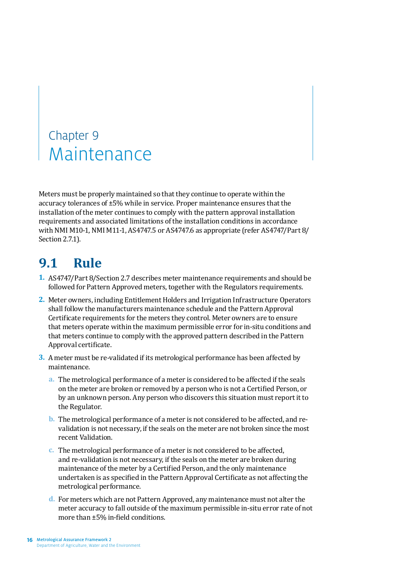## <span id="page-19-0"></span>Chapter 9 Maintenance

Meters must be properly maintained so that they continue to operate within the accuracy tolerances of ±5% while in service. Proper maintenance ensures that the installation of the meter continues to comply with the pattern approval installation requirements and associated limitations of the installation conditions in accordance with NMI M10-1, NMI M11-1, AS4747.5 or AS4747.6 as appropriate (refer AS4747/Part 8/ Section 2.7.1).

#### **9.1 Rule**

- **1.** AS4747/Part 8/Section 2.7 describes meter maintenance requirements and should be followed for Pattern Approved meters, together with the Regulators requirements.
- **2.** Meter owners, including Entitlement Holders and Irrigation Infrastructure Operators shall follow the manufacturers maintenance schedule and the Pattern Approval Certificate requirements for the meters they control. Meter owners are to ensure that meters operate within the maximum permissible error for in-situ conditions and that meters continue to comply with the approved pattern described in the Pattern Approval certificate.
- **3.** A meter must be re-validated if its metrological performance has been affected by maintenance.
	- **a.** The metrological performance of a meter is considered to be affected if the seals on the meter are broken or removed by a person who is not a Certified Person, or by an unknown person. Any person who discovers this situation must report it to the Regulator.
	- **b.** The metrological performance of a meter is not considered to be affected, and revalidation is not necessary, if the seals on the meter are not broken since the most recent Validation.
	- **c.** The metrological performance of a meter is not considered to be affected, and re-validation is not necessary, if the seals on the meter are broken during maintenance of the meter by a Certified Person, and the only maintenance undertaken is as specified in the Pattern Approval Certificate as not affecting the metrological performance.
	- **d.** For meters which are not Pattern Approved, any maintenance must not alter the meter accuracy to fall outside of the maximum permissible in-situ error rate of not more than ±5% in-field conditions.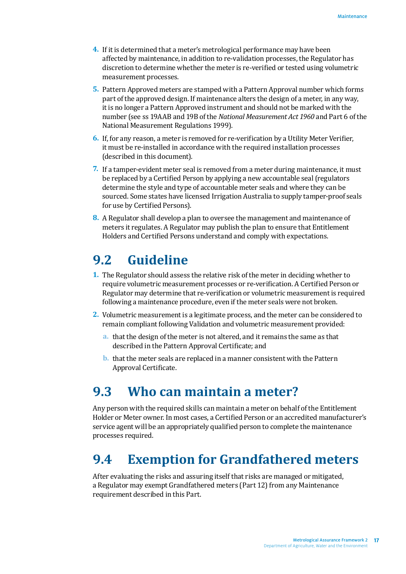- <span id="page-20-0"></span>**4.** If it is determined that a meter's metrological performance may have been affected by maintenance, in addition to re-validation processes, the Regulator has discretion to determine whether the meter is re-verified or tested using volumetric measurement processes.
- **5.** Pattern Approved meters are stamped with a Pattern Approval number which forms part of the approved design. If maintenance alters the design of a meter, in any way, it is no longer a Pattern Approved instrument and should not be marked with the number (see ss 19AAB and 19B of the *National Measurement Act 1960* and Part 6 of the National Measurement Regulations 1999).
- **6.** If, for any reason, a meter is removed for re-verification by a Utility Meter Verifier, it must be re-installed in accordance with the required installation processes (described in this document).
- **7.** If a tamper-evident meter seal is removed from a meter during maintenance, it must be replaced by a Certified Person by applying a new accountable seal (regulators determine the style and type of accountable meter seals and where they can be sourced. Some states have licensed Irrigation Australia to supply tamper-proof seals for use by Certified Persons).
- **8.** A Regulator shall develop a plan to oversee the management and maintenance of meters it regulates. A Regulator may publish the plan to ensure that Entitlement Holders and Certified Persons understand and comply with expectations.

#### **9.2 Guideline**

- **1.** The Regulator should assess the relative risk of the meter in deciding whether to require volumetric measurement processes or re-verification. A Certified Person or Regulator may determine that re-verification or volumetric measurement is required following a maintenance procedure, even if the meter seals were not broken.
- **2.** Volumetric measurement is a legitimate process, and the meter can be considered to remain compliant following Validation and volumetric measurement provided:
	- **a.** that the design of the meter is not altered, and it remains the same as that described in the Pattern Approval Certificate; and
	- **b.** that the meter seals are replaced in a manner consistent with the Pattern Approval Certificate.

#### **9.3 Who can maintain a meter?**

Any person with the required skills can maintain a meter on behalf of the Entitlement Holder or Meter owner. In most cases, a Certified Person or an accredited manufacturer's service agent will be an appropriately qualified person to complete the maintenance processes required.

#### **9.4 Exemption for Grandfathered meters**

After evaluating the risks and assuring itself that risks are managed or mitigated, a Regulator may exempt Grandfathered meters (Part 12) from any Maintenance requirement described in this Part.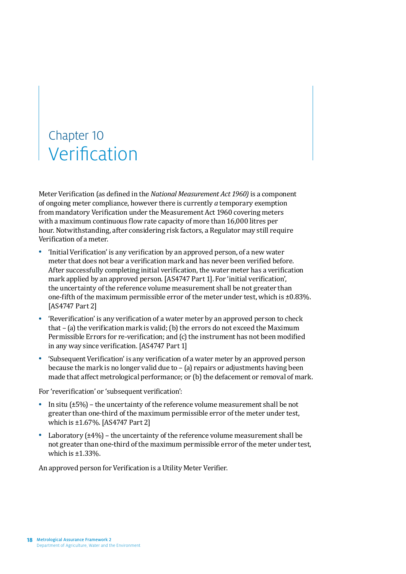## <span id="page-21-0"></span>Chapter 10 Verification

Meter Verification (as defined in the *National Measurement Act 1960)* is a component of ongoing meter compliance, however there is currently *a* temporary exemption from mandatory Verification under the Measurement Act 1960 covering meters with a maximum continuous flow rate capacity of more than 16,000 litres per hour. Notwithstanding, after considering risk factors, a Regulator may still require Verification of a meter.

- 'Initial Verification' is any verification by an approved person, of a new water meter that does not bear a verification mark and has never been verified before. After successfully completing initial verification, the water meter has a verification mark applied by an approved person. [AS4747 Part 1]. For 'initial verification', the uncertainty of the reference volume measurement shall be not greater than one-fifth of the maximum permissible error of the meter under test, which is  $\pm 0.83\%$ . [AS4747 Part 2]
- 'Reverification' is any verification of a water meter by an approved person to check that – (a) the verification mark is valid; (b) the errors do not exceed the Maximum Permissible Errors for re-verification; and (c) the instrument has not been modified in any way since verification. [AS4747 Part 1]
- 'Subsequent Verification' is any verification of a water meter by an approved person because the mark is no longer valid due to – (a) repairs or adjustments having been made that affect metrological performance; or (b) the defacement or removal of mark.

For 'reverification' or 'subsequent verification':

- In situ  $(\pm 5\%)$  the uncertainty of the reference volume measurement shall be not greater than one-third of the maximum permissible error of the meter under test, which is ±1.67%. [AS4747 Part 2]
- Laboratory (±4%) the uncertainty of the reference volume measurement shall be not greater than one-third of the maximum permissible error of the meter under test, which is ±1.33%.

An approved person for Verification is a Utility Meter Verifier.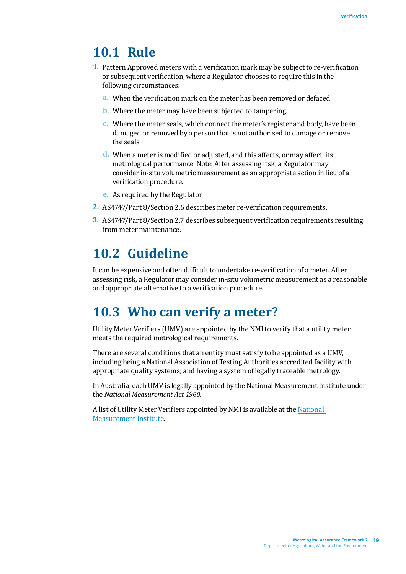#### <span id="page-22-0"></span>**10.1 Rule**

- **1.** Pattern Approved meters with a verification mark may be subject to re-verification or subsequent verification, where a Regulator chooses to require this in the following circumstances:
	- **a.** When the verification mark on the meter has been removed or defaced.
	- **b.** Where the meter may have been subjected to tampering.
	- **c.** Where the meter seals, which connect the meter's register and body, have been damaged or removed by a person that is not authorised to damage or remove the seals.
	- **d.** When a meter is modified or adjusted, and this affects, or may affect, its metrological performance. Note: After assessing risk, a Regulator may consider in-situ volumetric measurement as an appropriate action in lieu of a verification procedure.
	- **e.** As required by the Regulator
- **2.** AS4747/Part 8/Section 2.6 describes meter re-verification requirements.
- **3.** AS4747/Part 8/Section 2.7 describes subsequent verification requirements resulting from meter maintenance.

#### **10.2 Guideline**

It can be expensive and often difficult to undertake re-verification of a meter. After assessing risk, a Regulator may consider in-situ volumetric measurement as a reasonable and appropriate alternative to a verification procedure.

#### **10.3 Who can verify a meter?**

Utility Meter Verifiers (UMV) are appointed by the NMI to verify that a utility meter meets the required metrological requirements.

There are several conditions that an entity must satisfy to be appointed as a UMV, including being a National Association of Testing Authorities accredited facility with appropriate quality systems; and having a system of legally traceable metrology.

In Australia, each UMV is legally appointed by the National Measurement Institute under the *National Measurement Act 1960.*

A list of Utility Meter Verifiers appointed by NMI is available at the [National](https://www.industry.gov.au/regulations-and-standards/australias-measurement-system/utility-meter-verifiers?field_nmi_services_offered_tid%5B%5D=1932&field_nmi_state_territory_tid=All)  [Measurement Institute.](https://www.industry.gov.au/regulations-and-standards/australias-measurement-system/utility-meter-verifiers?field_nmi_services_offered_tid%5B%5D=1932&field_nmi_state_territory_tid=All)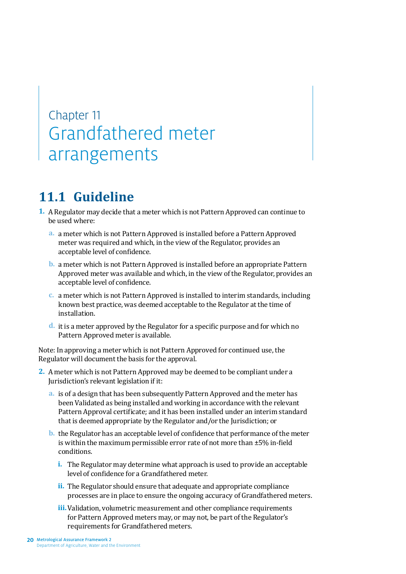## <span id="page-23-0"></span>Chapter 11 Grandfathered meter arrangements

#### **11.1 Guideline**

- **1.** A Regulator may decide that a meter which is not Pattern Approved can continue to be used where:
	- **a.** a meter which is not Pattern Approved is installed before a Pattern Approved meter was required and which, in the view of the Regulator, provides an acceptable level of confidence.
	- **b.** a meter which is not Pattern Approved is installed before an appropriate Pattern Approved meter was available and which, in the view of the Regulator, provides an acceptable level of confidence.
	- **c.** a meter which is not Pattern Approved is installed to interim standards, including known best practice, was deemed acceptable to the Regulator at the time of installation.
	- **d.** it is a meter approved by the Regulator for a specific purpose and for which no Pattern Approved meter is available.

Note: In approving a meter which is not Pattern Approved for continued use, the Regulator will document the basis for the approval.

- **2.** A meter which is not Pattern Approved may be deemed to be compliant under a Jurisdiction's relevant legislation if it:
	- **a.** is of a design that has been subsequently Pattern Approved and the meter has been Validated as being installed and working in accordance with the relevant Pattern Approval certificate; and it has been installed under an interim standard that is deemed appropriate by the Regulator and/or the Jurisdiction; or
	- **b.** the Regulator has an acceptable level of confidence that performance of the meter is within the maximum permissible error rate of not more than ±5% in-field conditions.
		- **i.** The Regulator may determine what approach is used to provide an acceptable level of confidence for a Grandfathered meter.
		- **ii.** The Regulator should ensure that adequate and appropriate compliance processes are in place to ensure the ongoing accuracy of Grandfathered meters.
		- **iii.**Validation, volumetric measurement and other compliance requirements for Pattern Approved meters may, or may not, be part of the Regulator's requirements for Grandfathered meters.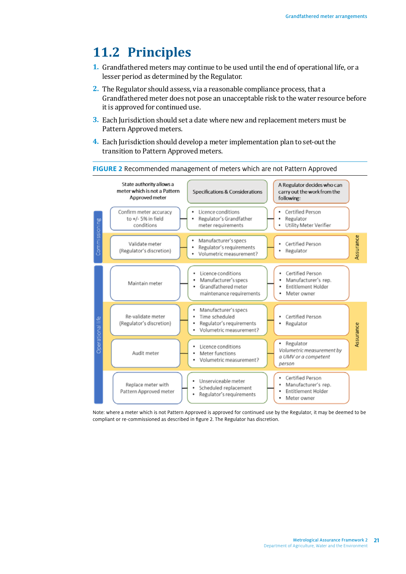#### <span id="page-24-0"></span>**11.2 Principles**

- **1.** Grandfathered meters may continue to be used until the end of operational life, or a lesser period as determined by the Regulator.
- **2.** The Regulator should assess, via a reasonable compliance process, that a Grandfathered meter does not pose an unacceptable risk to the water resource before it is approved for continued use.
- **3.** Each Jurisdiction should set a date where new and replacement meters must be Pattern Approved meters.
- **4.** Each Jurisdiction should develop a meter implementation plan to set-out the transition to Pattern Approved meters.



#### **FIGURE 2** Recommended management of meters which are not Pattern Approved

Note: where a meter which is not Pattern Approved is approved for continued use by the Regulator, it may be deemed to be compliant or re-commissioned as described in figure 2. The Regulator has discretion.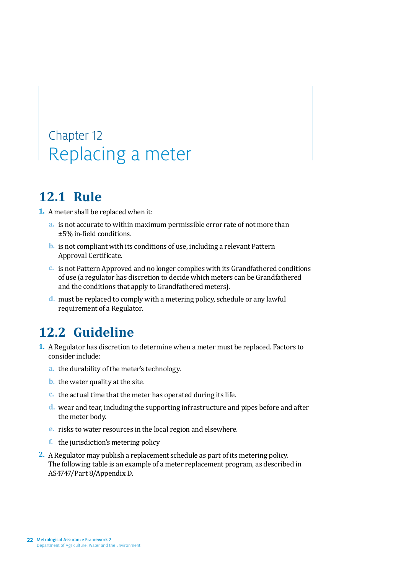## <span id="page-25-0"></span>Chapter 12 Replacing a meter

#### **12.1 Rule**

**1.** A meter shall be replaced when it:

- **a.** is not accurate to within maximum permissible error rate of not more than ±5% in-field conditions.
- **b.** is not compliant with its conditions of use, including a relevant Pattern Approval Certificate.
- **c.** is not Pattern Approved and no longer complies with its Grandfathered conditions of use (a regulator has discretion to decide which meters can be Grandfathered and the conditions that apply to Grandfathered meters).
- **d.** must be replaced to comply with a metering policy, schedule or any lawful requirement of a Regulator.

#### **12.2 Guideline**

- **1.** A Regulator has discretion to determine when a meter must be replaced. Factors to consider include:
	- **a.** the durability of the meter's technology.
	- **b.** the water quality at the site.
	- **c.** the actual time that the meter has operated during its life.
	- **d.** wear and tear, including the supporting infrastructure and pipes before and after the meter body.
	- **e.** risks to water resources in the local region and elsewhere.
	- **f.** the jurisdiction's metering policy
- **2.** A Regulator may publish a replacement schedule as part of its metering policy. The following table is an example of a meter replacement program, as described in AS4747/Part 8/Appendix D.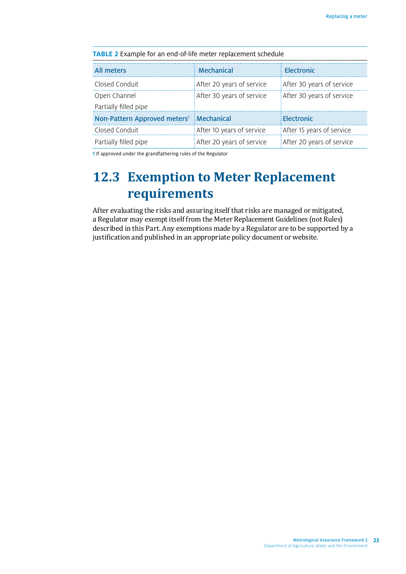| All meters                                          | Mechanical                | Electronic                |
|-----------------------------------------------------|---------------------------|---------------------------|
| Closed Conduit                                      | After 20 years of service | After 30 years of service |
| Open Channel                                        | After 30 years of service | After 30 years of service |
| Partially filled pipe                               |                           |                           |
| Non-Pattern Approved meters <sup>1</sup> Mechanical |                           | <b>Flectronic</b>         |
| Closed Conduit                                      | After 10 years of service | After 15 years of service |
| Partially filled pipe                               | After 20 years of service | After 20 years of service |

<span id="page-26-0"></span>**TABLE 2** Example for an end-of-life meter replacement schedule

**1** If approved under the grandfathering rules of the Regulator

#### **12.3 Exemption to Meter Replacement requirements**

After evaluating the risks and assuring itself that risks are managed or mitigated, a Regulator may exempt itself from the Meter Replacement Guidelines (not Rules) described in this Part. Any exemptions made by a Regulator are to be supported by a justification and published in an appropriate policy document or website.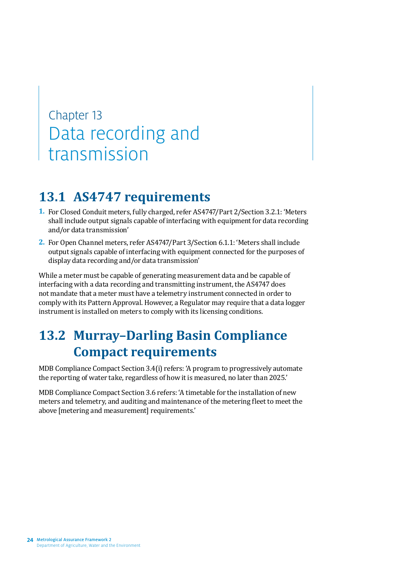## <span id="page-27-0"></span>Chapter 13 Data recording and transmission

#### **13.1 AS4747 requirements**

- **1.** For Closed Conduit meters, fully charged, refer AS4747/Part 2/Section 3.2.1: 'Meters shall include output signals capable of interfacing with equipment for data recording and/or data transmission'
- **2.** For Open Channel meters, refer AS4747/Part 3/Section 6.1.1: 'Meters shall include output signals capable of interfacing with equipment connected for the purposes of display data recording and/or data transmission'

While a meter must be capable of generating measurement data and be capable of interfacing with a data recording and transmitting instrument, the AS4747 does not mandate that a meter must have a telemetry instrument connected in order to comply with its Pattern Approval. However, a Regulator may require that a data logger instrument is installed on meters to comply with its licensing conditions.

#### **13.2 Murray–Darling Basin Compliance Compact requirements**

MDB Compliance Compact Section 3.4(i) refers: 'A program to progressively automate the reporting of water take, regardless of how it is measured, no later than 2025.'

MDB Compliance Compact Section 3.6 refers: 'A timetable for the installation of new meters and telemetry, and auditing and maintenance of the metering fleet to meet the above [metering and measurement] requirements.'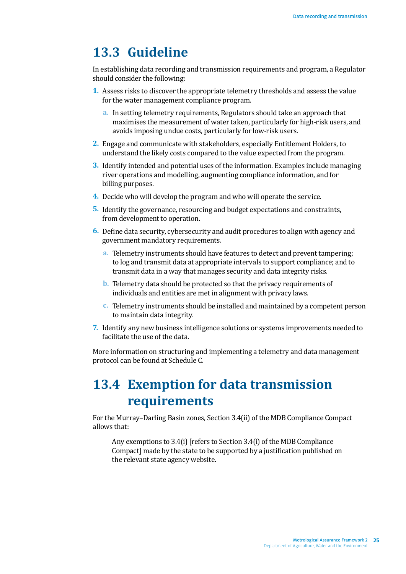#### <span id="page-28-0"></span>**13.3 Guideline**

In establishing data recording and transmission requirements and program, a Regulator should consider the following:

- **1.** Assess risks to discover the appropriate telemetry thresholds and assess the value for the water management compliance program.
	- **a.** In setting telemetry requirements, Regulators should take an approach that maximises the measurement of water taken, particularly for high-risk users, and avoids imposing undue costs, particularly for low-risk users.
- **2.** Engage and communicate with stakeholders, especially Entitlement Holders, to understand the likely costs compared to the value expected from the program.
- **3.** Identify intended and potential uses of the information. Examples include managing river operations and modelling, augmenting compliance information, and for billing purposes.
- **4.** Decide who will develop the program and who will operate the service.
- **5.** Identify the governance, resourcing and budget expectations and constraints, from development to operation.
- **6.** Define data security, cybersecurity and audit procedures to align with agency and government mandatory requirements.
	- **a.** Telemetry instruments should have features to detect and prevent tampering; to log and transmit data at appropriate intervals to support compliance; and to transmit data in a way that manages security and data integrity risks.
	- **b.** Telemetry data should be protected so that the privacy requirements of individuals and entities are met in alignment with privacy laws.
	- **c.** Telemetry instruments should be installed and maintained by a competent person to maintain data integrity.
- **7.** Identify any new business intelligence solutions or systems improvements needed to facilitate the use of the data.

More information on structuring and implementing a telemetry and data management protocol can be found at Schedule C.

#### **13.4 Exemption for data transmission requirements**

For the Murray–Darling Basin zones, Section 3.4(ii) of the MDB Compliance Compact allows that:

Any exemptions to 3.4(i) [refers to Section 3.4(i) of the MDB Compliance Compact] made by the state to be supported by a justification published on the relevant state agency website.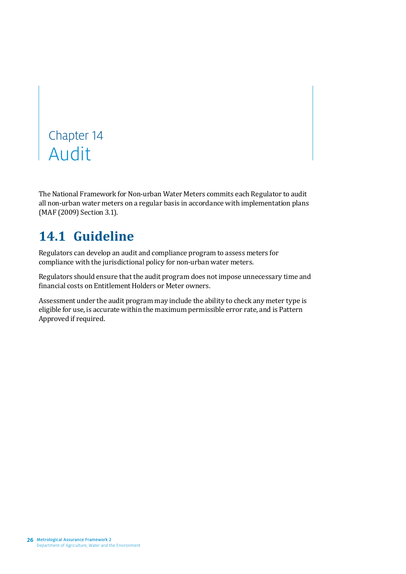## <span id="page-29-0"></span>Chapter 14 Audit

The National Framework for Non-urban Water Meters commits each Regulator to audit all non-urban water meters on a regular basis in accordance with implementation plans (MAF (2009) Section 3.1).

### **14.1 Guideline**

Regulators can develop an audit and compliance program to assess meters for compliance with the jurisdictional policy for non-urban water meters.

Regulators should ensure that the audit program does not impose unnecessary time and financial costs on Entitlement Holders or Meter owners.

Assessment under the audit program may include the ability to check any meter type is eligible for use, is accurate within the maximum permissible error rate, and is Pattern Approved if required.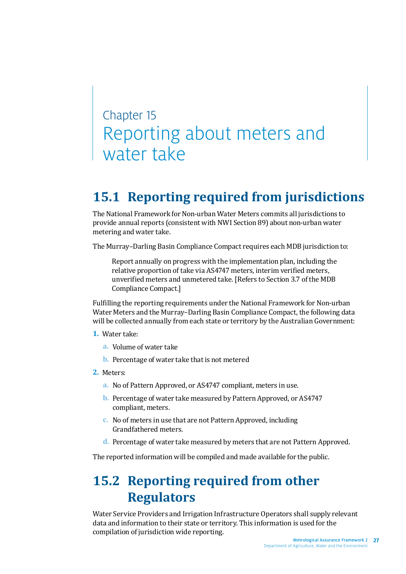## <span id="page-30-0"></span>Chapter 15 Reporting about meters and water take

#### **15.1 Reporting required from jurisdictions**

The National Framework for Non-urban Water Meters commits all jurisdictions to provide annual reports (consistent with NWI Section 89) about non-urban water metering and water take.

The Murray–Darling Basin Compliance Compact requires each MDB jurisdiction to:

Report annually on progress with the implementation plan, including the relative proportion of take via AS4747 meters, interim verified meters, unverified meters and unmetered take. [Refers to Section 3.7 of the MDB Compliance Compact.]

Fulfilling the reporting requirements under the National Framework for Non-urban Water Meters and the Murray–Darling Basin Compliance Compact, the following data will be collected annually from each state or territory by the Australian Government:

#### **1.** Water take:

- **a.** Volume of water take
- **b.** Percentage of water take that is not metered
- **2.** Meters:
	- **a.** No of Pattern Approved, or AS4747 compliant, meters in use.
	- **b.** Percentage of water take measured by Pattern Approved, or AS4747 compliant, meters.
	- **c.** No of meters in use that are not Pattern Approved, including Grandfathered meters.
	- **d.** Percentage of water take measured by meters that are not Pattern Approved.

The reported information will be compiled and made available for the public.

#### **15.2 Reporting required from other Regulators**

Water Service Providers and Irrigation Infrastructure Operators shall supply relevant data and information to their state or territory. This information is used for the compilation of jurisdiction wide reporting.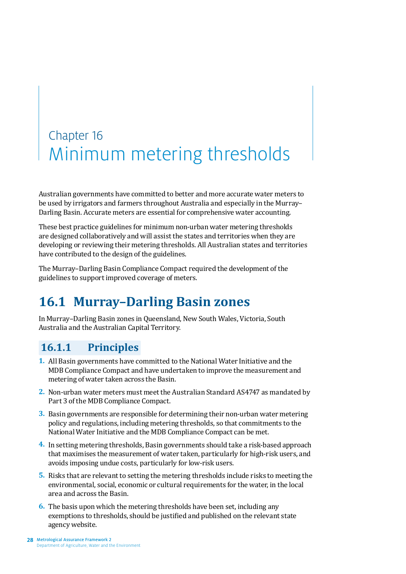## <span id="page-31-0"></span>Chapter 16 Minimum metering thresholds

Australian governments have committed to better and more accurate water meters to be used by irrigators and farmers throughout Australia and especially in the Murray– Darling Basin. Accurate meters are essential for comprehensive water accounting.

These best practice guidelines for minimum non-urban water metering thresholds are designed collaboratively and will assist the states and territories when they are developing or reviewing their metering thresholds. All Australian states and territories have contributed to the design of the guidelines.

The Murray–Darling Basin Compliance Compact required the development of the guidelines to support improved coverage of meters.

#### **16.1 Murray–Darling Basin zones**

In Murray–Darling Basin zones in Queensland, New South Wales, Victoria, South Australia and the Australian Capital Territory.

#### **16.1.1 Principles**

- **1.** All Basin governments have committed to the National Water Initiative and the MDB Compliance Compact and have undertaken to improve the measurement and metering of water taken across the Basin.
- **2.** Non-urban water meters must meet the Australian Standard AS4747 as mandated by Part 3 of the MDB Compliance Compact.
- **3.** Basin governments are responsible for determining their non-urban water metering policy and regulations, including metering thresholds, so that commitments to the National Water Initiative and the MDB Compliance Compact can be met.
- **4.** In setting metering thresholds, Basin governments should take a risk-based approach that maximises the measurement of water taken, particularly for high-risk users, and avoids imposing undue costs, particularly for low-risk users.
- **5.** Risks that are relevant to setting the metering thresholds include risks to meeting the environmental, social, economic or cultural requirements for the water, in the local area and across the Basin.
- **6.** The basis upon which the metering thresholds have been set, including any exemptions to thresholds, should be justified and published on the relevant state agency website.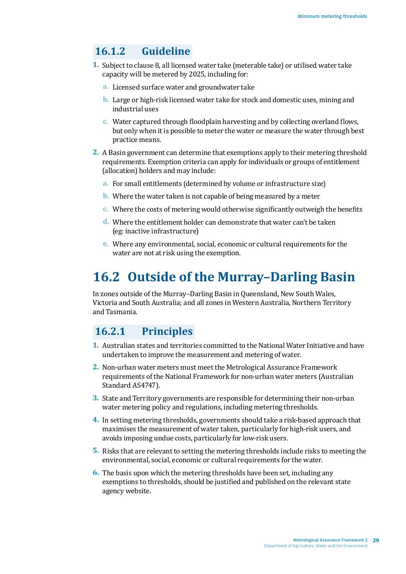#### <span id="page-32-0"></span>**16.1.2 Guideline**

- **1.** Subject to clause 8, all licensed water take (meterable take) or utilised water take capacity will be metered by 2025, including for:
	- **a.** Licensed surface water and groundwater take
	- **b.** Large or high-risk licensed water take for stock and domestic uses, mining and industrial uses
	- **c.** Water captured through floodplain harvesting and by collecting overland flows, but only when it is possible to meter the water or measure the water through best practice means.
- **2.** A Basin government can determine that exemptions apply to their metering threshold requirements. Exemption criteria can apply for individuals or groups of entitlement (allocation) holders and may include:
	- **a.** For small entitlements (determined by volume or infrastructure size)
	- **b.** Where the water taken is not capable of being measured by a meter
	- **c.** Where the costs of metering would otherwise significantly outweigh the benefits
	- **d.** Where the entitlement holder can demonstrate that water can't be taken (eg: inactive infrastructure)
	- **e.** Where any environmental, social, economic or cultural requirements for the water are not at risk using the exemption.

#### **16.2 Outside of the Murray–Darling Basin**

In zones outside of the Murray–Darling Basin in Queensland, New South Wales, Victoria and South Australia; and all zones in Western Australia, Northern Territory and Tasmania.

#### **16.2.1 Principles**

- **1.** Australian states and territories committed to the National Water Initiative and have undertaken to improve the measurement and metering of water.
- **2.** Non-urban water meters must meet the Metrological Assurance Framework requirements of the National Framework for non-urban water meters (Australian Standard AS4747).
- **3.** State and Territory governments are responsible for determining their non-urban water metering policy and regulations, including metering thresholds.
- **4.** In setting metering thresholds, governments should take a risk-based approach that maximises the measurement of water taken, particularly for high-risk users, and avoids imposing undue costs, particularly for low-risk users.
- **5.** Risks that are relevant to setting the metering thresholds include risks to meeting the environmental, social, economic or cultural requirements for the water.
- **6.** The basis upon which the metering thresholds have been set, including any exemptions to thresholds, should be justified and published on the relevant state agency website.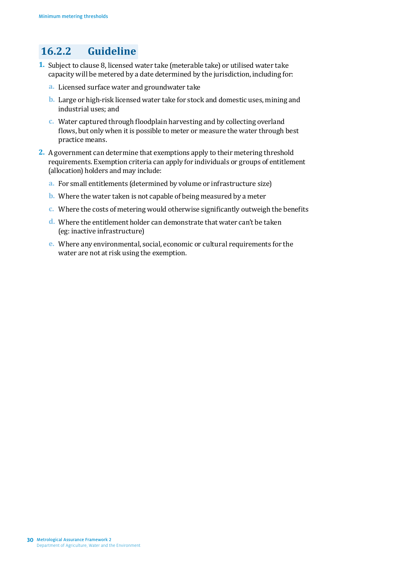#### **16.2.2 Guideline**

- **1.** Subject to clause 8, licensed water take (meterable take) or utilised water take capacity will be metered by a date determined by the jurisdiction, including for:
	- **a.** Licensed surface water and groundwater take
	- **b.** Large or high-risk licensed water take for stock and domestic uses, mining and industrial uses; and
	- **c.** Water captured through floodplain harvesting and by collecting overland flows, but only when it is possible to meter or measure the water through best practice means.
- **2.** A government can determine that exemptions apply to their metering threshold requirements. Exemption criteria can apply for individuals or groups of entitlement (allocation) holders and may include:
	- **a.** For small entitlements (determined by volume or infrastructure size)
	- **b.** Where the water taken is not capable of being measured by a meter
	- **c.** Where the costs of metering would otherwise significantly outweigh the benefits
	- **d.** Where the entitlement holder can demonstrate that water can't be taken (eg: inactive infrastructure)
	- **e.** Where any environmental, social, economic or cultural requirements for the water are not at risk using the exemption.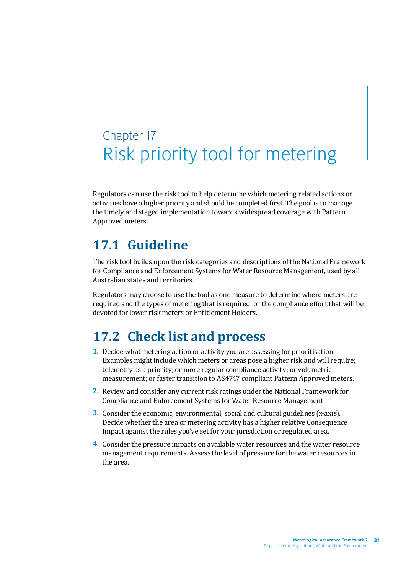## <span id="page-34-0"></span>Chapter 17 Risk priority tool for metering

Regulators can use the risk tool to help determine which metering related actions or activities have a higher priority and should be completed first. The goal is to manage the timely and staged implementation towards widespread coverage with Pattern Approved meters.

#### **17.1 Guideline**

The risk tool builds upon the risk categories and descriptions of the National Framework for Compliance and Enforcement Systems for Water Resource Management, used by all Australian states and territories.

Regulators may choose to use the tool as one measure to determine where meters are required and the types of metering that is required, or the compliance effort that will be devoted for lower risk meters or Entitlement Holders.

#### **17.2 Check list and process**

- **1.** Decide what metering action or activity you are assessing for prioritisation. Examples might include which meters or areas pose a higher risk and will require; telemetry as a priority; or more regular compliance activity; or volumetric measurement; or faster transition to AS4747 compliant Pattern Approved meters.
- **2.** Review and consider any current risk ratings under the National Framework for Compliance and Enforcement Systems for Water Resource Management.
- **3.** Consider the economic, environmental, social and cultural guidelines (x-axis). Decide whether the area or metering activity has a higher relative Consequence Impact against the rules you've set for your jurisdiction or regulated area.
- **4.** Consider the pressure impacts on available water resources and the water resource management requirements. Assess the level of pressure for the water resources in the area.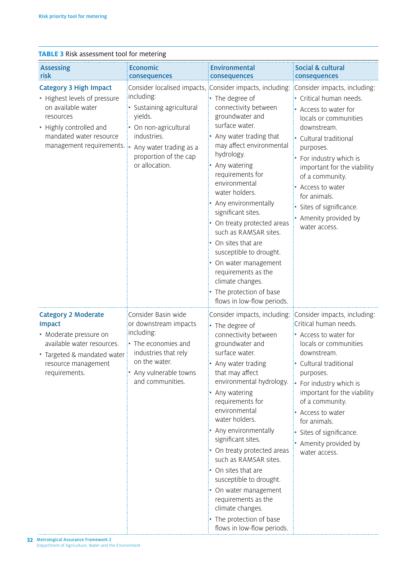| <b>Assessing</b><br>risk                                                                                                                                                                                     | <b>Economic</b><br>consequences                                                                                                                                          | <b>Environmental</b><br>consequences                                                                                                                                                                                                                                                                                                                                                                                                                                                                                                                                           | Social & cultural<br>consequences                                                                                                                                                                                                                                                                                                                       |
|--------------------------------------------------------------------------------------------------------------------------------------------------------------------------------------------------------------|--------------------------------------------------------------------------------------------------------------------------------------------------------------------------|--------------------------------------------------------------------------------------------------------------------------------------------------------------------------------------------------------------------------------------------------------------------------------------------------------------------------------------------------------------------------------------------------------------------------------------------------------------------------------------------------------------------------------------------------------------------------------|---------------------------------------------------------------------------------------------------------------------------------------------------------------------------------------------------------------------------------------------------------------------------------------------------------------------------------------------------------|
| <b>Category 3 High Impact</b><br>• Highest levels of pressure<br>on available water<br>resources<br>• Highly controlled and<br>mandated water resource<br>management requirements.  • Any water trading as a | including:<br>• Sustaining agricultural<br>yields.<br>• On non-agricultural<br>industries.<br>proportion of the cap<br>or allocation.                                    | Consider localised impacts, Consider impacts, including:<br>• The degree of<br>connectivity between<br>groundwater and<br>surface water.<br>• Any water trading that<br>may affect environmental<br>hydrology.<br>• Any watering<br>requirements for<br>environmental<br>water holders.<br>• Any environmentally<br>significant sites.<br>• On treaty protected areas<br>such as RAMSAR sites.<br>• On sites that are<br>susceptible to drought.<br>• On water management<br>requirements as the<br>climate changes.<br>• The protection of base<br>flows in low-flow periods. | Consider impacts, including:<br>• Critical human needs.<br>• Access to water for<br>locals or communities<br>downstream.<br>• Cultural traditional<br>purposes.<br>• For industry which is<br>important for the viability<br>of a community.<br>• Access to water<br>for animals.<br>• Sites of significance.<br>• Amenity provided by<br>water access. |
| <b>Category 2 Moderate</b><br>Impact<br>• Moderate pressure on<br>available water resources.<br>• Targeted & mandated water<br>resource management<br>requirements.                                          | Consider Basin wide<br>or downstream impacts<br>including:<br>• The economies and<br>industries that rely<br>on the water.<br>• Any vulnerable towns<br>and communities. | Consider impacts, including:<br>• The degree of<br>connectivity between<br>groundwater and<br>surface water.<br>• Any water trading<br>that may affect<br>environmental hydrology.<br>• Any watering<br>requirements for<br>environmental<br>water holders.<br>• Any environmentally<br>significant sites.<br>• On treaty protected areas<br>such as RAMSAR sites.<br>• On sites that are<br>susceptible to drought.<br>• On water management<br>requirements as the<br>climate changes.<br>• The protection of base<br>flows in low-flow periods.                             | Consider impacts, including:<br>Critical human needs.<br>• Access to water for<br>locals or communities<br>downstream.<br>• Cultural traditional<br>purposes.<br>• For industry which is<br>important for the viability<br>of a community.<br>• Access to water<br>for animals.<br>• Sites of significance.<br>• Amenity provided by<br>water access.   |

#### <span id="page-35-0"></span>**TABLE 3** Risk assessment tool for metering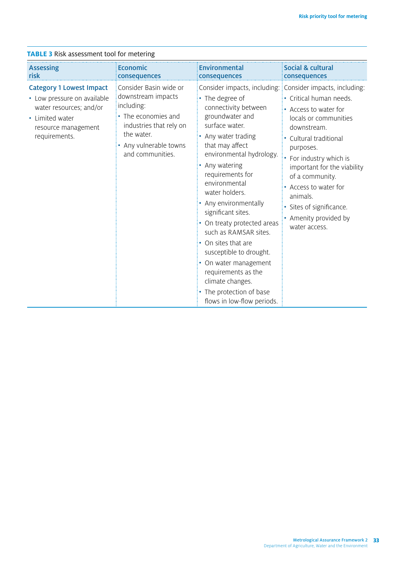| <b>Assessing</b><br>risk                                                                                                                             | <b>Economic</b><br>consequences                                                                                                                                          | Environmental<br>consequences                                                                                                                                                                                                                                                                                                                                                                                                                                                                                                                      | Social & cultural<br>consequences                                                                                                                                                                                                                                                                                                                       |
|------------------------------------------------------------------------------------------------------------------------------------------------------|--------------------------------------------------------------------------------------------------------------------------------------------------------------------------|----------------------------------------------------------------------------------------------------------------------------------------------------------------------------------------------------------------------------------------------------------------------------------------------------------------------------------------------------------------------------------------------------------------------------------------------------------------------------------------------------------------------------------------------------|---------------------------------------------------------------------------------------------------------------------------------------------------------------------------------------------------------------------------------------------------------------------------------------------------------------------------------------------------------|
| <b>Category 1 Lowest Impact</b><br>• Low pressure on available<br>water resources; and/or<br>• Limited water<br>resource management<br>requirements. | Consider Basin wide or<br>downstream impacts<br>including:<br>• The economies and<br>industries that rely on<br>the water.<br>• Any vulnerable towns<br>and communities. | Consider impacts, including:<br>• The degree of<br>connectivity between<br>groundwater and<br>surface water.<br>• Any water trading<br>that may affect<br>environmental hydrology.<br>• Any watering<br>requirements for<br>environmental<br>water holders.<br>• Any environmentally<br>significant sites.<br>• On treaty protected areas<br>such as RAMSAR sites.<br>• On sites that are<br>susceptible to drought.<br>• On water management<br>requirements as the<br>climate changes.<br>• The protection of base<br>flows in low-flow periods. | Consider impacts, including:<br>• Critical human needs.<br>• Access to water for<br>locals or communities<br>downstream.<br>• Cultural traditional<br>purposes.<br>• For industry which is<br>important for the viability<br>of a community.<br>• Access to water for<br>animals.<br>• Sites of significance.<br>• Amenity provided by<br>water access. |

#### **TABLE 3** Risk assessment tool for metering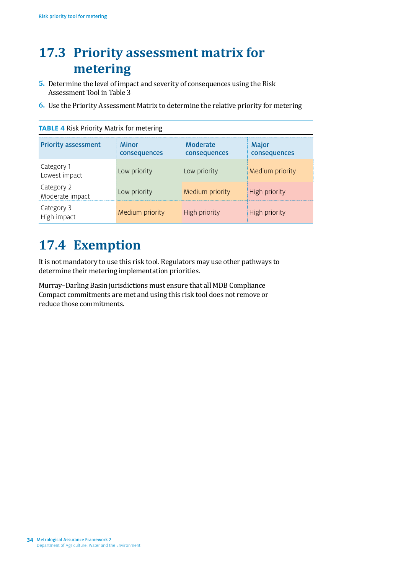### <span id="page-37-0"></span>**17.3 Priority assessment matrix for metering**

- **5.** Determine the level of impact and severity of consequences using the Risk Assessment Tool in Table 3
- **6.** Use the Priority Assessment Matrix to determine the relative priority for metering

| <b>TABLE 4 Risk Priority Matrix for metering</b> |                       |                          |                       |  |
|--------------------------------------------------|-----------------------|--------------------------|-----------------------|--|
| <b>Priority assessment</b>                       | Minor<br>consequences | Moderate<br>consequences | Major<br>consequences |  |
| Category 1<br>Lowest impact                      | Low priority          | Low priority             | Medium priority       |  |
| Category 2<br>Moderate impact                    | Low priority          | Medium priority          | High priority         |  |
| Category 3<br>High impact                        | Medium priority       | High priority            | High priority         |  |

#### **17.4 Exemption**

It is not mandatory to use this risk tool. Regulators may use other pathways to determine their metering implementation priorities.

Murray–Darling Basin jurisdictions must ensure that all MDB Compliance Compact commitments are met and using this risk tool does not remove or reduce those commitments.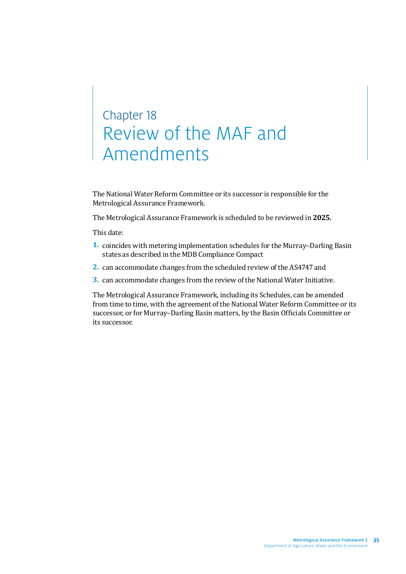## <span id="page-38-0"></span>Chapter 18 Review of the MAF and Amendments

The National Water Reform Committee or its successor is responsible for the Metrological Assurance Framework.

The Metrological Assurance Framework is scheduled to be reviewed in **2025.**

This date:

- **1.** coincides with metering implementation schedules for the Murray–Darling Basin states as described in the MDB Compliance Compact
- **2.** can accommodate changes from the scheduled review of the AS4747 and
- **3.** can accommodate changes from the review of the National Water Initiative.

The Metrological Assurance Framework, including its Schedules, can be amended from time to time, with the agreement of the National Water Reform Committee or its successor, or for Murray–Darling Basin matters, by the Basin Officials Committee or its successor.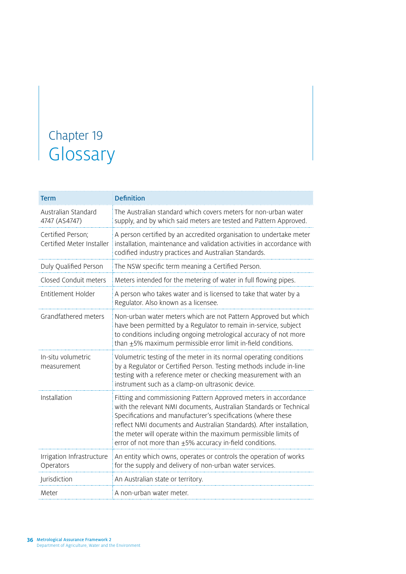# <span id="page-39-0"></span>Chapter 19 Glossary

| Term                                           | <b>Definition</b>                                                                                                                                                                                                                                                                                                                                                                                                  |
|------------------------------------------------|--------------------------------------------------------------------------------------------------------------------------------------------------------------------------------------------------------------------------------------------------------------------------------------------------------------------------------------------------------------------------------------------------------------------|
| Australian Standard<br>4747 (AS4747)           | The Australian standard which covers meters for non-urban water<br>supply, and by which said meters are tested and Pattern Approved.                                                                                                                                                                                                                                                                               |
| Certified Person;<br>Certified Meter Installer | A person certified by an accredited organisation to undertake meter<br>installation, maintenance and validation activities in accordance with<br>codified industry practices and Australian Standards.                                                                                                                                                                                                             |
| Duly Qualified Person                          | The NSW specific term meaning a Certified Person.                                                                                                                                                                                                                                                                                                                                                                  |
| Closed Conduit meters                          | Meters intended for the metering of water in full flowing pipes.                                                                                                                                                                                                                                                                                                                                                   |
| Entitlement Holder                             | A person who takes water and is licensed to take that water by a<br>Regulator. Also known as a licensee.                                                                                                                                                                                                                                                                                                           |
| Grandfathered meters                           | Non-urban water meters which are not Pattern Approved but which<br>have been permitted by a Regulator to remain in-service, subject<br>to conditions including ongoing metrological accuracy of not more<br>than $\pm$ 5% maximum permissible error limit in-field conditions.                                                                                                                                     |
| In-situ volumetric<br>measurement              | Volumetric testing of the meter in its normal operating conditions<br>by a Regulator or Certified Person. Testing methods include in-line<br>testing with a reference meter or checking measurement with an<br>instrument such as a clamp-on ultrasonic device.                                                                                                                                                    |
| Installation                                   | Fitting and commissioning Pattern Approved meters in accordance<br>with the relevant NMI documents, Australian Standards or Technical<br>Specifications and manufacturer's specifications (where these<br>reflect NMI documents and Australian Standards). After installation,<br>the meter will operate within the maximum permissible limits of<br>error of not more than $\pm$ 5% accuracy in-field conditions. |
| Irrigation Infrastructure<br>Operators         | An entity which owns, operates or controls the operation of works<br>for the supply and delivery of non-urban water services.                                                                                                                                                                                                                                                                                      |
| Jurisdiction                                   | An Australian state or territory.                                                                                                                                                                                                                                                                                                                                                                                  |
| Meter                                          | A non-urban water meter.                                                                                                                                                                                                                                                                                                                                                                                           |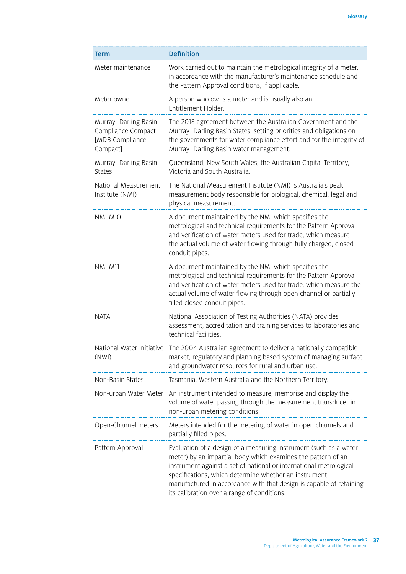| <b>Term</b>                                                               | <b>Definition</b>                                                                                                                                                                                                                                                                                                                                                                      |
|---------------------------------------------------------------------------|----------------------------------------------------------------------------------------------------------------------------------------------------------------------------------------------------------------------------------------------------------------------------------------------------------------------------------------------------------------------------------------|
| Meter maintenance                                                         | Work carried out to maintain the metrological integrity of a meter,<br>in accordance with the manufacturer's maintenance schedule and<br>the Pattern Approval conditions, if applicable.                                                                                                                                                                                               |
| Meter owner                                                               | A person who owns a meter and is usually also an<br>Entitlement Holder.                                                                                                                                                                                                                                                                                                                |
| Murray-Darling Basin<br>Compliance Compact<br>[MDB Compliance<br>Compact] | The 2018 agreement between the Australian Government and the<br>Murray-Darling Basin States, setting priorities and obligations on<br>the governments for water compliance effort and for the integrity of<br>Murray-Darling Basin water management.                                                                                                                                   |
| Murray-Darling Basin<br><b>States</b>                                     | Queensland, New South Wales, the Australian Capital Territory,<br>Victoria and South Australia.                                                                                                                                                                                                                                                                                        |
| National Measurement<br>Institute (NMI)                                   | The National Measurement Institute (NMI) is Australia's peak<br>measurement body responsible for biological, chemical, legal and<br>physical measurement.                                                                                                                                                                                                                              |
| NMI M <sub>10</sub>                                                       | A document maintained by the NMI which specifies the<br>metrological and technical requirements for the Pattern Approval<br>and verification of water meters used for trade, which measure<br>the actual volume of water flowing through fully charged, closed<br>conduit pipes.                                                                                                       |
| <b>NMI M11</b>                                                            | A document maintained by the NMI which specifies the<br>metrological and technical requirements for the Pattern Approval<br>and verification of water meters used for trade, which measure the<br>actual volume of water flowing through open channel or partially<br>filled closed conduit pipes.                                                                                     |
| <b>NATA</b>                                                               | National Association of Testing Authorities (NATA) provides<br>assessment, accreditation and training services to laboratories and<br>technical facilities.                                                                                                                                                                                                                            |
| National Water Initiative<br>(NW)                                         | The 2004 Australian agreement to deliver a nationally compatible<br>market, regulatory and planning based system of managing surface<br>and groundwater resources for rural and urban use.                                                                                                                                                                                             |
| Non-Basin States                                                          | Tasmania, Western Australia and the Northern Territory.                                                                                                                                                                                                                                                                                                                                |
| Non-urban Water Meter                                                     | An instrument intended to measure, memorise and display the<br>volume of water passing through the measurement transducer in<br>non-urban metering conditions.                                                                                                                                                                                                                         |
| Open-Channel meters                                                       | Meters intended for the metering of water in open channels and<br>partially filled pipes.                                                                                                                                                                                                                                                                                              |
| Pattern Approval                                                          | Evaluation of a design of a measuring instrument (such as a water<br>meter) by an impartial body which examines the pattern of an<br>instrument against a set of national or international metrological<br>specifications, which determine whether an instrument<br>manufactured in accordance with that design is capable of retaining<br>its calibration over a range of conditions. |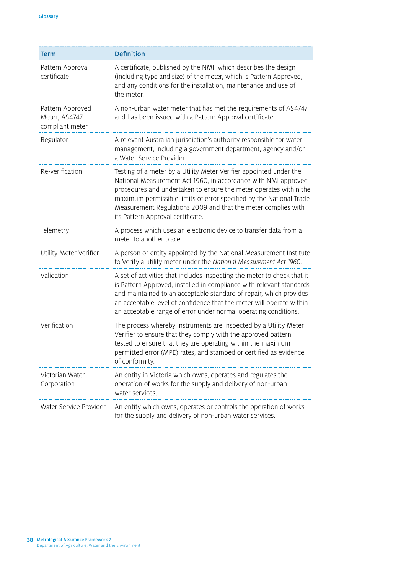| <b>Term</b>                                          | <b>Definition</b>                                                                                                                                                                                                                                                                                                                                                                      |
|------------------------------------------------------|----------------------------------------------------------------------------------------------------------------------------------------------------------------------------------------------------------------------------------------------------------------------------------------------------------------------------------------------------------------------------------------|
| Pattern Approval<br>certificate                      | A certificate, published by the NMI, which describes the design<br>(including type and size) of the meter, which is Pattern Approved,<br>and any conditions for the installation, maintenance and use of<br>the meter.                                                                                                                                                                 |
| Pattern Approved<br>Meter; AS4747<br>compliant meter | A non-urban water meter that has met the requirements of AS4747<br>and has been issued with a Pattern Approval certificate.                                                                                                                                                                                                                                                            |
| Regulator                                            | A relevant Australian jurisdiction's authority responsible for water<br>management, including a government department, agency and/or<br>a Water Service Provider.                                                                                                                                                                                                                      |
| Re-verification                                      | Testing of a meter by a Utility Meter Verifier appointed under the<br>National Measurement Act 1960, in accordance with NMI approved<br>procedures and undertaken to ensure the meter operates within the<br>maximum permissible limits of error specified by the National Trade<br>Measurement Regulations 2009 and that the meter complies with<br>its Pattern Approval certificate. |
| Telemetry                                            | A process which uses an electronic device to transfer data from a<br>meter to another place.                                                                                                                                                                                                                                                                                           |
| Utility Meter Verifier                               | A person or entity appointed by the National Measurement Institute<br>to Verify a utility meter under the National Measurement Act 1960.                                                                                                                                                                                                                                               |
| Validation                                           | A set of activities that includes inspecting the meter to check that it<br>is Pattern Approved, installed in compliance with relevant standards<br>and maintained to an acceptable standard of repair, which provides<br>an acceptable level of confidence that the meter will operate within<br>an acceptable range of error under normal operating conditions.                       |
| Verification                                         | The process whereby instruments are inspected by a Utility Meter<br>Verifier to ensure that they comply with the approved pattern,<br>tested to ensure that they are operating within the maximum<br>permitted error (MPE) rates, and stamped or certified as evidence<br>of conformity.                                                                                               |
| Victorian Water<br>Corporation                       | An entity in Victoria which owns, operates and regulates the<br>operation of works for the supply and delivery of non-urban<br>water services.                                                                                                                                                                                                                                         |
| Water Service Provider                               | An entity which owns, operates or controls the operation of works<br>for the supply and delivery of non-urban water services.                                                                                                                                                                                                                                                          |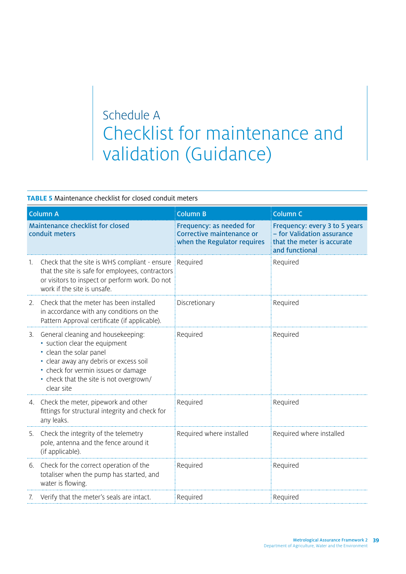# <span id="page-42-0"></span>Schedule A Checklist for maintenance and validation (Guidance)

#### **TABLE 5** Maintenance checklist for closed conduit meters

|    | <b>Column A</b>                                                                                                                                                                                                                          | <b>Column B</b>                                                                      | <b>Column C</b>                                                                                             |
|----|------------------------------------------------------------------------------------------------------------------------------------------------------------------------------------------------------------------------------------------|--------------------------------------------------------------------------------------|-------------------------------------------------------------------------------------------------------------|
|    | Maintenance checklist for closed<br>conduit meters                                                                                                                                                                                       | Frequency: as needed for<br>Corrective maintenance or<br>when the Regulator requires | Frequency: every 3 to 5 years<br>- for Validation assurance<br>that the meter is accurate<br>and functional |
| 1. | Check that the site is WHS compliant - ensure<br>that the site is safe for employees, contractors<br>or visitors to inspect or perform work. Do not<br>work if the site is unsafe.                                                       | Required                                                                             | Required                                                                                                    |
| 2. | Check that the meter has been installed<br>in accordance with any conditions on the<br>Pattern Approval certificate (if applicable).                                                                                                     | Discretionary                                                                        | Required                                                                                                    |
| 3. | General cleaning and housekeeping:<br>• suction clear the equipment<br>• clean the solar panel<br>• clear away any debris or excess soil<br>• check for vermin issues or damage<br>• check that the site is not overgrown/<br>clear site | Required                                                                             | Required                                                                                                    |
|    | 4. Check the meter, pipework and other<br>fittings for structural integrity and check for<br>any leaks.                                                                                                                                  | Required                                                                             | Required                                                                                                    |
| 5. | Check the integrity of the telemetry<br>pole, antenna and the fence around it<br>(if applicable).                                                                                                                                        | Required where installed                                                             | Required where installed                                                                                    |
| 6. | Check for the correct operation of the<br>totaliser when the pump has started, and<br>water is flowing.                                                                                                                                  | Required                                                                             | Required                                                                                                    |
|    | 7. Verify that the meter's seals are intact.                                                                                                                                                                                             | Required                                                                             | Required                                                                                                    |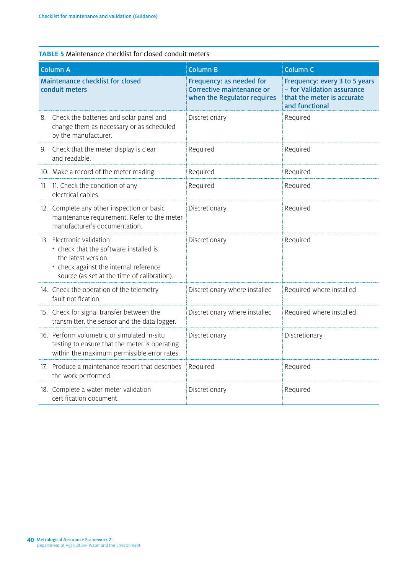#### **TABLE 5** Maintenance checklist for closed conduit meters

|                                                           | <b>Column A</b>                                                                                                                                                                       | <b>Column B</b>                                                                      | <b>Column C</b>                                                                                             |
|-----------------------------------------------------------|---------------------------------------------------------------------------------------------------------------------------------------------------------------------------------------|--------------------------------------------------------------------------------------|-------------------------------------------------------------------------------------------------------------|
| <b>Maintenance checklist for closed</b><br>conduit meters |                                                                                                                                                                                       | Frequency: as needed for<br>Corrective maintenance or<br>when the Regulator requires | Frequency: every 3 to 5 years<br>- for Validation assurance<br>that the meter is accurate<br>and functional |
| 8.                                                        | Check the batteries and solar panel and<br>change them as necessary or as scheduled<br>by the manufacturer.                                                                           | Discretionary                                                                        | Required                                                                                                    |
| 9.                                                        | Check that the meter display is clear<br>and readable.                                                                                                                                | Required                                                                             | Required                                                                                                    |
|                                                           | 10. Make a record of the meter reading.                                                                                                                                               | Required                                                                             | Required                                                                                                    |
|                                                           | 11. 11. Check the condition of any<br>electrical cables.                                                                                                                              | Required                                                                             | Required                                                                                                    |
|                                                           | 12. Complete any other inspection or basic<br>maintenance requirement. Refer to the meter<br>manufacturer's documentation.                                                            | Discretionary                                                                        | Required                                                                                                    |
|                                                           | 13. Electronic validation -<br>• check that the software installed is<br>the latest version.<br>• check against the internal reference<br>source (as set at the time of calibration). | Discretionary                                                                        | Required                                                                                                    |
|                                                           | 14. Check the operation of the telemetry<br>fault notification.                                                                                                                       | Discretionary where installed                                                        | Required where installed                                                                                    |
|                                                           | 15. Check for signal transfer between the<br>transmitter, the sensor and the data logger.                                                                                             | Discretionary where installed                                                        | Required where installed                                                                                    |
|                                                           | 16. Perform volumetric or simulated in-situ<br>testing to ensure that the meter is operating<br>within the maximum permissible error rates.                                           | Discretionary                                                                        | Discretionary                                                                                               |
|                                                           | 17. Produce a maintenance report that describes<br>the work performed.                                                                                                                | Required                                                                             | Required                                                                                                    |
|                                                           | 18. Complete a water meter validation<br>certification document.                                                                                                                      | Discretionary                                                                        | Required                                                                                                    |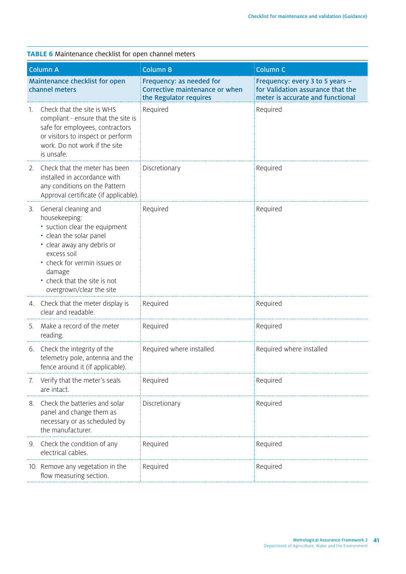#### <span id="page-44-0"></span>**TABLE 6** Maintenance checklist for open channel meters

| <b>Column A</b>                                  |                                                                                                                                                                                                                                                      | <b>Column B</b>                                                                      | <b>Column C</b>                                                                                          |
|--------------------------------------------------|------------------------------------------------------------------------------------------------------------------------------------------------------------------------------------------------------------------------------------------------------|--------------------------------------------------------------------------------------|----------------------------------------------------------------------------------------------------------|
| Maintenance checklist for open<br>channel meters |                                                                                                                                                                                                                                                      | Frequency: as needed for<br>Corrective maintenance or when<br>the Regulator requires | Frequency: every 3 to 5 years -<br>for Validation assurance that the<br>meter is accurate and functional |
| 1.                                               | Check that the site is WHS<br>compliant - ensure that the site is<br>safe for employees, contractors<br>or visitors to inspect or perform<br>work. Do not work if the site<br>is unsafe.                                                             | Required                                                                             | Required                                                                                                 |
| 2.                                               | Check that the meter has been<br>installed in accordance with<br>any conditions on the Pattern<br>Approval certificate (if applicable).                                                                                                              | Discretionary                                                                        | Required                                                                                                 |
| 3.                                               | General cleaning and<br>housekeeping:<br>• suction clear the equipment<br>• clean the solar panel<br>• clear away any debris or<br>excess soil<br>• check for vermin issues or<br>damage<br>• check that the site is not<br>overgrown/clear the site | Required                                                                             | Required                                                                                                 |
| 4.                                               | Check that the meter display is<br>clear and readable.                                                                                                                                                                                               | Required                                                                             | Required                                                                                                 |
| 5.                                               | Make a record of the meter<br>reading.                                                                                                                                                                                                               | Required                                                                             | Required                                                                                                 |
| 6.                                               | Check the integrity of the<br>telemetry pole, antenna and the<br>fence around it (if applicable).                                                                                                                                                    | Required where installed                                                             | Required where installed                                                                                 |
| 7.                                               | Verify that the meter's seals<br>are intact.                                                                                                                                                                                                         | Required                                                                             | Required                                                                                                 |
| 8.                                               | Check the batteries and solar<br>panel and change them as<br>necessary or as scheduled by<br>the manufacturer.                                                                                                                                       | Discretionary                                                                        | Required                                                                                                 |
| 9.                                               | Check the condition of any<br>electrical cables.                                                                                                                                                                                                     | Required                                                                             | Required                                                                                                 |
|                                                  | 10. Remove any vegetation in the<br>flow measuring section.                                                                                                                                                                                          | Required                                                                             | Required                                                                                                 |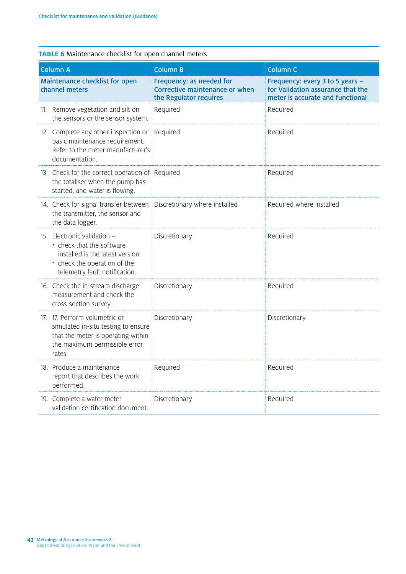#### **TABLE 6** Maintenance checklist for open channel meters

| <b>Column A</b>                                  |                                                                                                                                                               | <b>Column B</b>                                                                      | Column <sub>C</sub>                                                                                      |
|--------------------------------------------------|---------------------------------------------------------------------------------------------------------------------------------------------------------------|--------------------------------------------------------------------------------------|----------------------------------------------------------------------------------------------------------|
| Maintenance checklist for open<br>channel meters |                                                                                                                                                               | Frequency: as needed for<br>Corrective maintenance or when<br>the Regulator requires | Frequency: every 3 to 5 years -<br>for Validation assurance that the<br>meter is accurate and functional |
|                                                  | 11. Remove vegetation and silt on<br>the sensors or the sensor system.                                                                                        | Required                                                                             | Required                                                                                                 |
|                                                  | 12. Complete any other inspection or<br>basic maintenance requirement.<br>Refer to the meter manufacturer's<br>documentation.                                 | Required                                                                             | Required                                                                                                 |
|                                                  | 13. Check for the correct operation of Required<br>the totaliser when the pump has<br>started, and water is flowing.                                          |                                                                                      | Required                                                                                                 |
|                                                  | 14. Check for signal transfer between<br>the transmitter, the sensor and<br>the data logger.                                                                  | Discretionary where installed                                                        | Required where installed                                                                                 |
|                                                  | 15. Electronic validation -<br>• check that the software<br>installed is the latest version.<br>• check the operation of the<br>telemetry fault notification. | Discretionary                                                                        | Required                                                                                                 |
|                                                  | 16. Check the in-stream discharge<br>measurement and check the<br>cross-section survey.                                                                       | Discretionary                                                                        | Required                                                                                                 |
|                                                  | 17. 17. Perform volumetric or<br>simulated in-situ testing to ensure<br>that the meter is operating within<br>the maximum permissible error<br>rates.         | Discretionary                                                                        | Discretionary                                                                                            |
|                                                  | 18. Produce a maintenance<br>report that describes the work<br>performed.                                                                                     | Required                                                                             | Required                                                                                                 |
|                                                  | 19. Complete a water meter<br>validation certification document.                                                                                              | Discretionary                                                                        | Required                                                                                                 |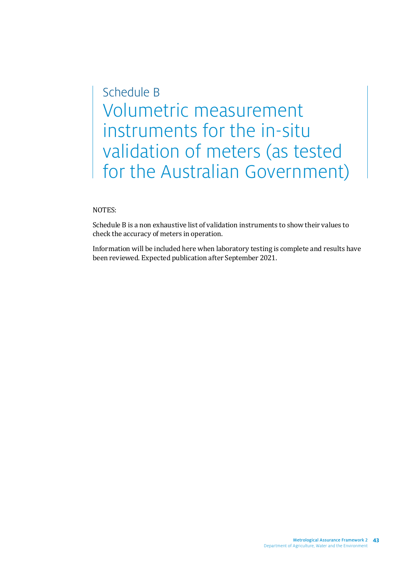<span id="page-46-0"></span>Schedule B Volumetric measurement instruments for the in-situ validation of meters (as tested for the Australian Government)

#### NOTES:

Schedule B is a non exhaustive list of validation instruments to show their values to check the accuracy of meters in operation.

Information will be included here when laboratory testing is complete and results have been reviewed. Expected publication after September 2021.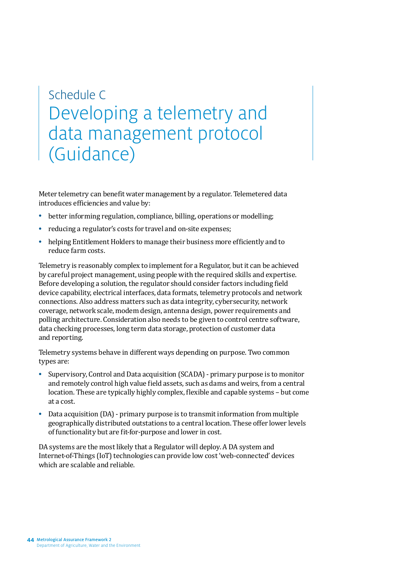## <span id="page-47-0"></span>Schedule C Developing a telemetry and data management protocol (Guidance)

Meter telemetry can benefit water management by a regulator. Telemetered data introduces efficiencies and value by:

- better informing regulation, compliance, billing, operations or modelling;
- reducing a regulator's costs for travel and on-site expenses;
- helping Entitlement Holders to manage their business more efficiently and to reduce farm costs.

Telemetry is reasonably complex to implement for a Regulator, but it can be achieved by careful project management, using people with the required skills and expertise. Before developing a solution, the regulator should consider factors including field device capability, electrical interfaces, data formats, telemetry protocols and network connections. Also address matters such as data integrity, cybersecurity, network coverage, network scale, modem design, antenna design, power requirements and polling architecture. Consideration also needs to be given to control centre software, data checking processes, long term data storage, protection of customer data and reporting.

Telemetry systems behave in different ways depending on purpose. Two common types are:

- Supervisory, Control and Data acquisition (SCADA) primary purpose is to monitor and remotely control high value field assets, such as dams and weirs, from a central location. These are typically highly complex, flexible and capable systems – but come at a cost.
- Data acquisition (DA) primary purpose is to transmit information from multiple geographically distributed outstations to a central location. These offer lower levels of functionality but are fit-for-purpose and lower in cost.

DA systems are the most likely that a Regulator will deploy. A DA system and Internet-of-Things (IoT) technologies can provide low cost 'web-connected' devices which are scalable and reliable.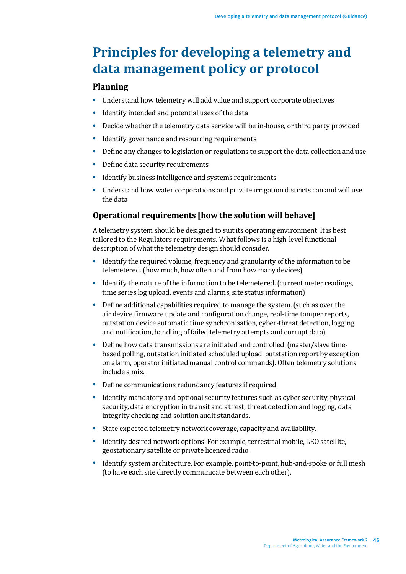#### **Principles for developing a telemetry and data management policy or protocol**

#### **Planning**

- Understand how telemetry will add value and support corporate objectives
- Identify intended and potential uses of the data
- Decide whether the telemetry data service will be in-house, or third party provided
- Identify governance and resourcing requirements
- Define any changes to legislation or regulations to support the data collection and use
- Define data security requirements
- Identify business intelligence and systems requirements
- Understand how water corporations and private irrigation districts can and will use the data

#### **Operational requirements [how the solution will behave]**

A telemetry system should be designed to suit its operating environment. It is best tailored to the Regulators requirements. What follows is a high-level functional description of what the telemetry design should consider.

- Identify the required volume, frequency and granularity of the information to be telemetered. (how much, how often and from how many devices)
- Identify the nature of the information to be telemetered. (current meter readings, time series log upload, events and alarms, site status information)
- Define additional capabilities required to manage the system. (such as over the air device firmware update and configuration change, real-time tamper reports, outstation device automatic time synchronisation, cyber-threat detection, logging and notification, handling of failed telemetry attempts and corrupt data).
- Define how data transmissions are initiated and controlled. (master/slave timebased polling, outstation initiated scheduled upload, outstation report by exception on alarm, operator initiated manual control commands). Often telemetry solutions include a mix.
- Define communications redundancy features if required.
- Identify mandatory and optional security features such as cyber security, physical security, data encryption in transit and at rest, threat detection and logging, data integrity checking and solution audit standards.
- State expected telemetry network coverage, capacity and availability.
- Identify desired network options. For example, terrestrial mobile, LEO satellite, geostationary satellite or private licenced radio.
- Identify system architecture. For example, point-to-point, hub-and-spoke or full mesh (to have each site directly communicate between each other).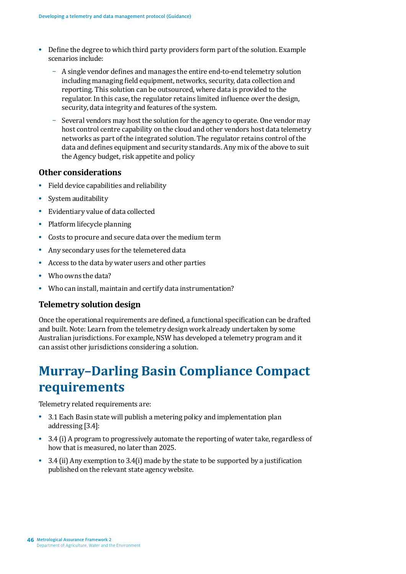- Define the degree to which third party providers form part of the solution. Example scenarios include:
	- A single vendor defines and manages the entire end-to-end telemetry solution including managing field equipment, networks, security, data collection and reporting. This solution can be outsourced, where data is provided to the regulator. In this case, the regulator retains limited influence over the design, security, data integrity and features of the system.
	- Several vendors may host the solution for the agency to operate. One vendor may host control centre capability on the cloud and other vendors host data telemetry networks as part of the integrated solution. The regulator retains control of the data and defines equipment and security standards. Any mix of the above to suit the Agency budget, risk appetite and policy

#### **Other considerations**

- Field device capabilities and reliability
- System auditability
- Evidentiary value of data collected
- Platform lifecycle planning
- Costs to procure and secure data over the medium term
- Any secondary uses for the telemetered data
- Access to the data by water users and other parties
- Who owns the data?
- Who can install, maintain and certify data instrumentation?

#### **Telemetry solution design**

Once the operational requirements are defined, a functional specification can be drafted and built. Note: Learn from the telemetry design work already undertaken by some Australian jurisdictions. For example, NSW has developed a telemetry program and it can assist other jurisdictions considering a solution.

#### **Murray–Darling Basin Compliance Compact requirements**

Telemetry related requirements are:

- 3.1 Each Basin state will publish a metering policy and implementation plan addressing [3.4]:
- 3.4 (i) A program to progressively automate the reporting of water take, regardless of how that is measured, no later than 2025.
- 3.4 (ii) Any exemption to 3.4(i) made by the state to be supported by a justification published on the relevant state agency website.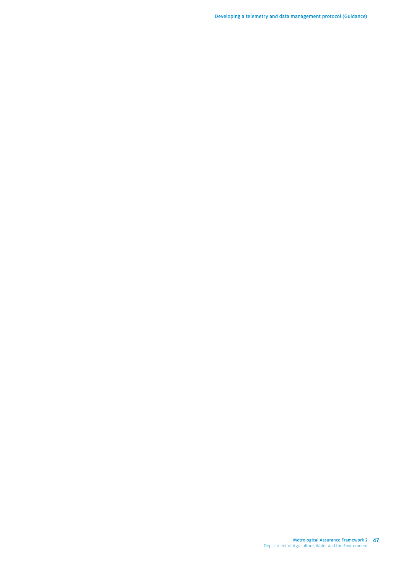Developing a telemetry and data management protocol (Guidance)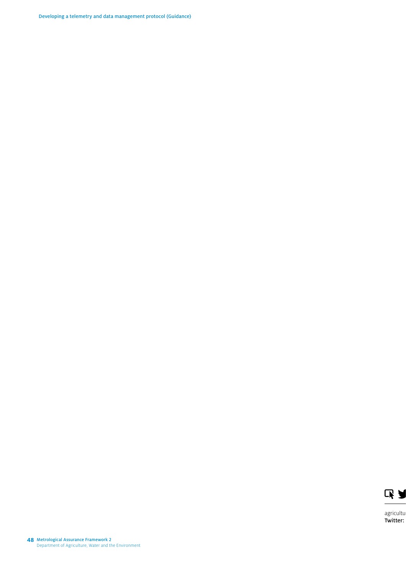Developing a telemetry and data management protocol (Guidance)



agricultu Twitter: